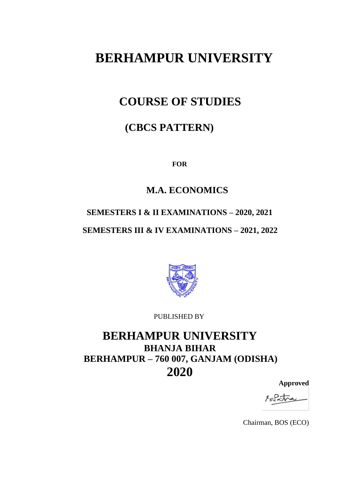# **BERHAMPUR UNIVERSITY**

## **COURSE OF STUDIES**

## **(CBCS PATTERN)**

**FOR**

## **M.A. ECONOMICS**

## **SEMESTERS I & II EXAMINATIONS – 2020, 2021**

## **SEMESTERS III & IV EXAMINATIONS – 2021, 2022**



PUBLISHED BY

## **BERHAMPUR UNIVERSITY BHANJA BIHAR BERHAMPUR – 760 007, GANJAM (ODISHA) 2020**

**Approved**

Chairman, BOS (ECO)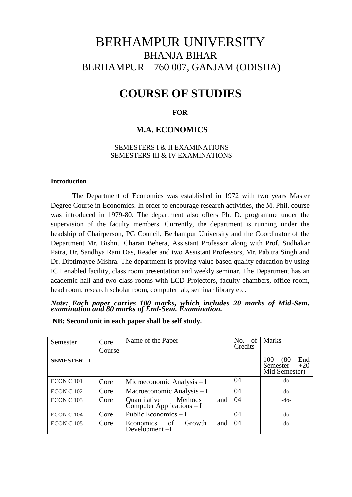## BERHAMPUR UNIVERSITY BHANJA BIHAR BERHAMPUR – 760 007, GANJAM (ODISHA)

## **COURSE OF STUDIES**

#### **FOR**

#### **M.A. ECONOMICS**

#### SEMESTERS I & II EXAMINATIONS SEMESTERS III & IV EXAMINATIONS

#### **Introduction**

The Department of Economics was established in 1972 with two years Master Degree Course in Economics. In order to encourage research activities, the M. Phil. course was introduced in 1979-80. The department also offers Ph. D. programme under the supervision of the faculty members. Currently, the department is running under the headship of Chairperson, PG Council, Berhampur University and the Coordinator of the Department Mr. Bishnu Charan Behera, Assistant Professor along with Prof. Sudhakar Patra, Dr, Sandhya Rani Das, Reader and two Assistant Professors, Mr. Pabitra Singh and Dr. Diptimayee Mishra. The department is proving value based quality education by using ICT enabled facility, class room presentation and weekly seminar. The Department has an academic hall and two class rooms with LCD Projectors, faculty chambers, office room, head room, research scholar room, computer lab, seminar library etc.

*Note: Each paper carries 100 marks, which includes 20 marks of Mid-Sem. examination and 80 marks of End-Sem. Examination.*

**NB: Second unit in each paper shall be self study.**

| Semester            | Core<br>Course | Name of the Paper                                             | No. of<br>Credits | Marks                                                    |
|---------------------|----------------|---------------------------------------------------------------|-------------------|----------------------------------------------------------|
| <b>SEMESTER - I</b> |                |                                                               |                   | 100<br>(80)<br>End<br>$+20$<br>Semester<br>Mid Semester) |
| ECON C 101          | Core           | Microeconomic Analysis - I                                    | 04                | $-do-$                                                   |
| <b>ECON C 102</b>   | Core           | Macroeconomic Analysis - I                                    | 04                | $-do-$                                                   |
| <b>ECON C103</b>    | Core           | Methods<br>Quantitative<br>and<br>$Computer Applications - I$ | 04                | -do-                                                     |
| ECON C 104          | Core           | Public Economics $-I$                                         | 04                | $-do-$                                                   |
| <b>ECON C105</b>    | Core           | Economics<br>and<br>Growth<br>of<br>Development-I             | 04                | $-do-$                                                   |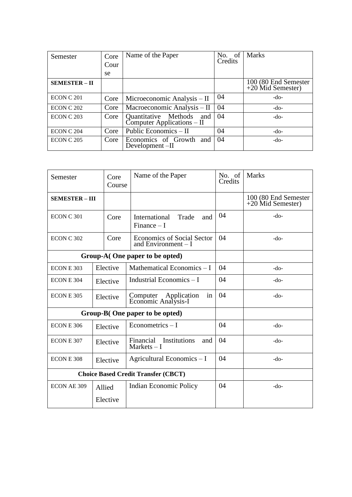| Semester             | Core<br>Cour | Name of the Paper                                        | No. of<br>Credits | <b>Marks</b>                                |
|----------------------|--------------|----------------------------------------------------------|-------------------|---------------------------------------------|
|                      | se           |                                                          |                   |                                             |
| <b>SEMESTER – II</b> |              |                                                          |                   | 100 (80 End Semester<br>$+20$ Mid Semester) |
| ECON C 201           | Core         | Microeconomic Analysis – II                              | 04                | $-do-$                                      |
| ECON C 202           | Core         | Macroeconomic Analysis - II                              | 04                | $-do-$                                      |
| ECON C 203           | Core         | Quantitative Methods and<br>$Computer Applications - II$ | 04                | $-do-$                                      |
| ECON C 204           | Core         | Public Economics – II                                    | 04                | $-do-$                                      |
| ECON C 205           | Core         | Economics of Growth and<br>Development $-II$             | 04                | $-do-$                                      |

| Semester              | Core<br>Course     | Name of the Paper                                         | No. of<br>Credits | <b>Marks</b>                                |
|-----------------------|--------------------|-----------------------------------------------------------|-------------------|---------------------------------------------|
| <b>SEMESTER - III</b> |                    |                                                           |                   | 100 (80 End Semester<br>$+20$ Mid Semester) |
| ECON C 301            | Core               | International<br>Trade<br>and<br>Finance $-1$             | 04                | $-do-$                                      |
| ECON C 302            | Core               | <b>Economics of Social Sector</b><br>and Environment $-I$ | 04                | $-do-$                                      |
|                       |                    | Group-A(One paper to be opted)                            |                   |                                             |
| ECON E 303            | Elective           | Mathematical Economics $-I$                               | 04                | $-do-$                                      |
| ECON E 304            | Elective           | Industrial Economics $-I$                                 | 04                | $-do-$                                      |
| ECON E 305            | Elective           | Computer Application<br>Economic Analysis-I<br>in         | 04                | $-do-$                                      |
|                       |                    | Group-B(One paper to be opted)                            |                   |                                             |
| ECON E 306            | Elective           | Econometrics $-1$                                         | 04                | $-do-$                                      |
| ECON E 307            | Elective           | Financial Institutions<br>and<br>$Markets - I$            | 04                | $-do-$                                      |
| ECON E 308            | Elective           | Agricultural Economics - I                                | 04                | $-do-$                                      |
|                       |                    | <b>Choice Based Credit Transfer (CBCT)</b>                |                   |                                             |
| <b>ECON AE 309</b>    | Allied<br>Elective | <b>Indian Economic Policy</b>                             | 04                | $-do-$                                      |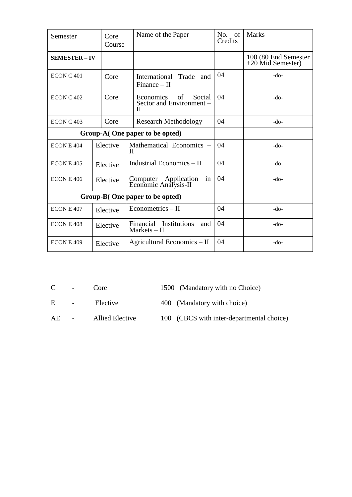| Semester              | Core<br>Course | Name of the Paper                                          | No.<br>of<br>Credits | <b>Marks</b>                                |
|-----------------------|----------------|------------------------------------------------------------|----------------------|---------------------------------------------|
| <b>SEMESTER - IV</b>  |                |                                                            |                      | 100 (80 End Semester<br>$+20$ Mid Semester) |
| ECONC <sub>401</sub>  | Core           | Trade<br>International<br>and<br>$Finance - II$            | 04                   | -do-                                        |
| ECON C <sub>402</sub> | Core           | Social<br>Economics<br>of<br>Sector and Environment -<br>Н | 04                   | $-do-$                                      |
| ECON C <sub>403</sub> | Core           | <b>Research Methodology</b>                                | 04                   | $-do-$                                      |
|                       |                | Group-A(One paper to be opted)                             |                      |                                             |
| ECON E 404            | Elective       | Mathematical Economics –<br>Н                              | 04                   | $-do-$                                      |
| ECON E 405            | Elective       | Industrial Economics – II                                  | 04                   | $-do-$                                      |
| ECON E 406            | Elective       | Computer Application<br>in<br>Economic Analysis-II         | 04                   | -do-                                        |
|                       |                | Group-B(One paper to be opted)                             |                      |                                             |
| ECON E 407            | Elective       | $E$ conometrics – II                                       | 04                   | -do-                                        |
| ECON E 408            | Elective       | Financial Institutions<br>and<br>$Markets - II$            | 04                   | -do-                                        |
| ECON E 409            | Elective       | Agricultural Economics – II                                | 04                   | $-do-$                                      |

C - Core 1500 (Mandatory with no Choice)

E - Elective 400 (Mandatory with choice)

- AE Allied Elective 100 (CBCS with inter-departmental choice)
	-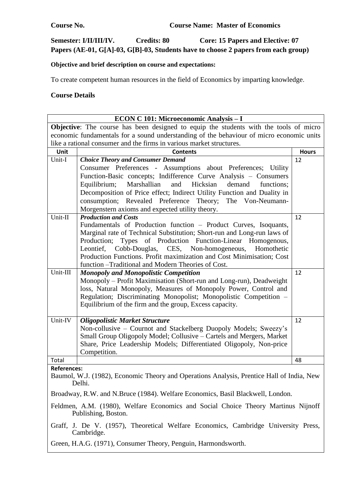$\overline{\phantom{a}}$ 

### **Semester: I/II/III/IV. Credits: 80 Core: 15 Papers and Elective: 07 Papers (AE-01, G[A]-03, G[B]-03, Students have to choose 2 papers from each group)**

### **Objective and brief description on course and expectations:**

To create competent human resources in the field of Economics by imparting knowledge.

#### **Course Details**

 $\Gamma$ 

|                                                                                                          | ECON C 101: Microeconomic Analysis - I                                                    |              |  |
|----------------------------------------------------------------------------------------------------------|-------------------------------------------------------------------------------------------|--------------|--|
|                                                                                                          | Objective: The course has been designed to equip the students with the tools of micro     |              |  |
|                                                                                                          | economic fundamentals for a sound understanding of the behaviour of micro economic units  |              |  |
| like a rational consumer and the firms in various market structures.                                     |                                                                                           |              |  |
| Unit                                                                                                     | <b>Contents</b>                                                                           | <b>Hours</b> |  |
| Unit-I                                                                                                   | <b>Choice Theory and Consumer Demand</b>                                                  | 12           |  |
|                                                                                                          | Consumer Preferences - Assumptions about Preferences; Utility                             |              |  |
|                                                                                                          | Function-Basic concepts; Indifference Curve Analysis - Consumers                          |              |  |
|                                                                                                          | and<br>Hicksian<br>Marshallian<br>demand<br>Equilibrium;<br>functions:                    |              |  |
|                                                                                                          | Decomposition of Price effect; Indirect Utility Function and Duality in                   |              |  |
|                                                                                                          | consumption; Revealed Preference Theory; The Von-Neumann-                                 |              |  |
|                                                                                                          | Morgenstern axioms and expected utility theory.                                           |              |  |
| Unit-II                                                                                                  | <b>Production and Costs</b>                                                               | 12           |  |
|                                                                                                          | Fundamentals of Production function – Product Curves, Isoquants,                          |              |  |
|                                                                                                          | Marginal rate of Technical Substitution; Short-run and Long-run laws of                   |              |  |
|                                                                                                          | Types of Production Function-Linear Homogenous,<br>Production;                            |              |  |
|                                                                                                          | Leontief,<br>Cobb-Douglas, CES, Non-homogeneous,<br>Homothetic                            |              |  |
|                                                                                                          | Production Functions. Profit maximization and Cost Minimisation; Cost                     |              |  |
|                                                                                                          | function - Traditional and Modern Theories of Cost.                                       |              |  |
| Unit-III                                                                                                 | <b>Monopoly and Monopolistic Competition</b>                                              | 12           |  |
|                                                                                                          | Monopoly - Profit Maximisation (Short-run and Long-run), Deadweight                       |              |  |
|                                                                                                          | loss, Natural Monopoly, Measures of Monopoly Power, Control and                           |              |  |
|                                                                                                          | Regulation; Discriminating Monopolist; Monopolistic Competition -                         |              |  |
|                                                                                                          | Equilibrium of the firm and the group, Excess capacity.                                   |              |  |
|                                                                                                          |                                                                                           |              |  |
| Unit-IV                                                                                                  | <b>Oligopolistic Market Structure</b>                                                     | 12           |  |
|                                                                                                          | Non-collusive – Cournot and Stackelberg Duopoly Models; Sweezy's                          |              |  |
|                                                                                                          | Small Group Oligopoly Model; Collusive - Cartels and Mergers, Market                      |              |  |
|                                                                                                          | Share, Price Leadership Models; Differentiated Oligopoly, Non-price                       |              |  |
|                                                                                                          | Competition.                                                                              |              |  |
| Total                                                                                                    |                                                                                           | 48           |  |
| <b>References:</b>                                                                                       |                                                                                           |              |  |
|                                                                                                          | Baumol, W.J. (1982), Economic Theory and Operations Analysis, Prentice Hall of India, New |              |  |
| Delhi.                                                                                                   |                                                                                           |              |  |
| Broadway, R.W. and N.Bruce (1984). Welfare Economics, Basil Blackwell, London.                           |                                                                                           |              |  |
| Feldmen, A.M. (1980), Welfare Economics and Social Choice Theory Martinus Nijnoff<br>Publishing, Boston. |                                                                                           |              |  |
|                                                                                                          | Graff, J. De V. (1957), Theoretical Welfare Economics, Cambridge University Press,        |              |  |
|                                                                                                          | Cambridge.                                                                                |              |  |
|                                                                                                          | Green, H.A.G. (1971), Consumer Theory, Penguin, Harmondsworth.                            |              |  |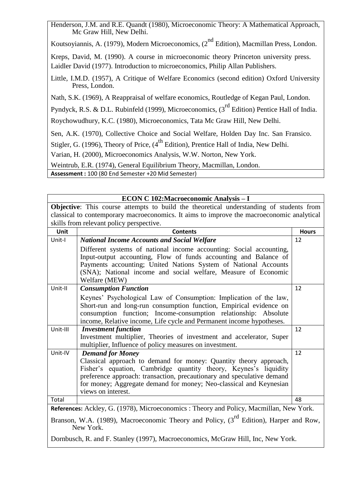Henderson, J.M. and R.E. Quandt (1980), Microeconomic Theory: A Mathematical Approach, Mc Graw Hill, New Delhi.

Koutsoyiannis, A. (1979), Modern Microeconomics,  $(2^{nd}$  Edition), Macmillan Press, London.

Kreps, David, M. (1990). A course in microeconomic theory Princeton university press.

Laidler David (1977). Introduction to microeconomics, Philip Allan Publishers.

Little, I.M.D. (1957), A Critique of Welfare Economics (second edition) Oxford University Press, London.

Nath, S.K. (1969), A Reappraisal of welfare economics, Routledge of Kegan Paul, London.

Pyndyck, R.S. & D.L. Rubinfeld (1999), Microeconomics, (3<sup>rd</sup> Edition) Pentice Hall of India.

Roychowudhury, K.C. (1980), Microeconomics, Tata Mc Graw Hill, New Delhi.

Sen, A.K. (1970), Collective Choice and Social Welfare, Holden Day Inc. San Fransico.

Stigler, G. (1996), Theory of Price,  $(4^{th}$  Edition), Prentice Hall of India, New Delhi.

Varian, H. (2000), Microeconomics Analysis, W.W. Norton, New York.

Weintrub, E.R. (1974), General Equilibrium Theory, Macmillan, London.

**Assessment :** 100 (80 End Semester +20 Mid Semester)

Unit-IV *Demand for Money*

New York.

views on interest.

|          | ECON C 102: Macroeconomic Analysis - I                                                         |              |  |  |
|----------|------------------------------------------------------------------------------------------------|--------------|--|--|
|          | <b>Objective:</b> This course attempts to build the theoretical understanding of students from |              |  |  |
|          | classical to contemporary macroeconomics. It aims to improve the macroeconomic analytical      |              |  |  |
|          | skills from relevant policy perspective.                                                       |              |  |  |
| Unit     | <b>Contents</b>                                                                                | <b>Hours</b> |  |  |
| Unit-I   | <b>National Income Accounts and Social Welfare</b>                                             | 12           |  |  |
|          | Different systems of national income accounting: Social accounting,                            |              |  |  |
|          | Input-output accounting, Flow of funds accounting and Balance of                               |              |  |  |
|          | Payments accounting; United Nations System of National Accounts                                |              |  |  |
|          | (SNA); National income and social welfare, Measure of Economic                                 |              |  |  |
|          | Welfare (MEW)                                                                                  |              |  |  |
| Unit-II  | <b>Consumption Function</b>                                                                    | 12           |  |  |
|          | Keynes' Psychological Law of Consumption: Implication of the law,                              |              |  |  |
|          | Short-run and long-run consumption function, Empirical evidence on                             |              |  |  |
|          | consumption function; Income-consumption relationship: Absolute                                |              |  |  |
|          | income, Relative income, Life cycle and Permanent income hypotheses.                           |              |  |  |
| Unit-III | <b>Investment function</b>                                                                     | 12           |  |  |
|          | Investment multiplier, Theories of investment and accelerator, Super                           |              |  |  |
|          | multiplier, Influence of policy measures on investment.                                        |              |  |  |

Classical approach to demand for money: Quantity theory approach, Fisher's equation, Cambridge quantity theory, Keynes's liquidity preference approach: transaction, precautionary and speculative demand for money; Aggregate demand for money; Neo-classical and Keynesian

12

Dornbusch, R. and F. Stanley (1997), Macroeconomics, McGraw Hill, Inc, New York.

Total 48 **References:** Ackley, G. (1978), Microeconomics : Theory and Policy, Macmillan, New York. Branson, W.A. (1989), Macroeconomic Theory and Policy,  $3<sup>rd</sup>$  Edition), Harper and Row,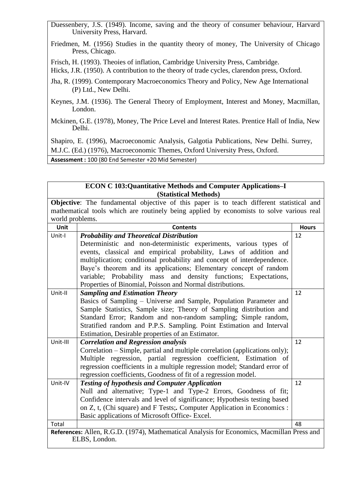Duessenbery, J.S. (1949). Income, saving and the theory of consumer behaviour, Harvard University Press, Harvard.

Friedmen, M. (1956) Studies in the quantity theory of money, The University of Chicago Press, Chicago.

Frisch, H. (1993). Theoies of inflation, Cambridge University Press, Cambridge.

Hicks, J.R. (1950). A contribution to the theory of trade cycles, clarendon press, Oxford.

Jha, R. (1999). Contemporary Macroeconomics Theory and Policy, New Age International (P) Ltd., New Delhi.

Keynes, J.M. (1936). The General Theory of Employment, Interest and Money, Macmillan, London.

Mckinen, G.E. (1978), Money, The Price Level and Interest Rates. Prentice Hall of India, New Delhi.

Shapiro, E. (1996), Macroeconomic Analysis, Galgotia Publications, New Delhi. Surrey, M.J.C. (Ed.) (1976), Macroeconomic Themes, Oxford University Press, Oxford.

**Assessment :** 100 (80 End Semester +20 Mid Semester)

#### **ECON C 103:Quantitative Methods and Computer Applications–I (Statistical Methods)**

**Objective**: The fundamental objective of this paper is to teach different statistical and mathematical tools which are routinely being applied by economists to solve various real world problems.

| Unit     | <b>Contents</b>                                                                                             | <b>Hours</b> |
|----------|-------------------------------------------------------------------------------------------------------------|--------------|
| Unit-I   | <b>Probability and Theoretical Distribution</b>                                                             | 12           |
|          | Deterministic and non-deterministic experiments, various types of                                           |              |
|          | events, classical and empirical probability, Laws of addition and                                           |              |
|          | multiplication; conditional probability and concept of interdependence.                                     |              |
|          | Baye's theorem and its applications; Elementary concept of random                                           |              |
|          | variable; Probability mass and density functions; Expectations,                                             |              |
|          | Properties of Binomial, Poisson and Normal distributions.                                                   |              |
| Unit-II  | <b>Sampling and Estimation Theory</b>                                                                       | 12           |
|          | Basics of Sampling - Universe and Sample, Population Parameter and                                          |              |
|          | Sample Statistics, Sample size; Theory of Sampling distribution and                                         |              |
|          | Standard Error; Random and non-random sampling; Simple random,                                              |              |
|          | Stratified random and P.P.S. Sampling. Point Estimation and Interval                                        |              |
|          | Estimation, Desirable properties of an Estimator.                                                           |              |
| Unit-III | <b>Correlation and Regression analysis</b>                                                                  | 12           |
|          | Correlation – Simple, partial and multiple correlation (applications only);                                 |              |
|          | Multiple regression, partial regression coefficient, Estimation of                                          |              |
|          | regression coefficients in a multiple regression model; Standard error of                                   |              |
|          | regression coefficients, Goodness of fit of a regression model.                                             |              |
| Unit-IV  | <b>Testing of hypothesis and Computer Application</b>                                                       | 12           |
|          | Null and alternative; Type-1 and Type-2 Errors, Goodness of fit;                                            |              |
|          | Confidence intervals and level of significance; Hypothesis testing based                                    |              |
|          | on Z, t, (Chi square) and F Tests;. Computer Application in Economics :                                     |              |
|          | Basic applications of Microsoft Office- Excel.                                                              |              |
| Total    |                                                                                                             | 48           |
|          | References: Allen, R.G.D. (1974), Mathematical Analysis for Economics, Macmillan Press and<br>ELBS, London. |              |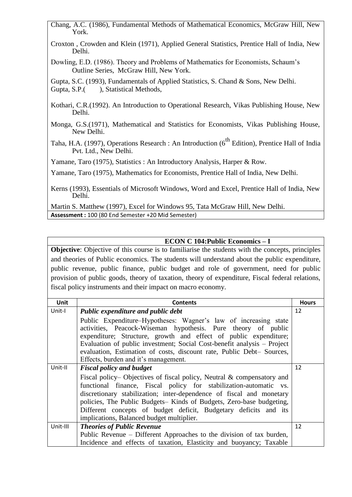Chang, A.C. (1986), Fundamental Methods of Mathematical Economics, McGraw Hill, New York.

- Croxton , Crowden and Klein (1971), Applied General Statistics, Prentice Hall of India, New Delhi.
- Dowling, E.D. (1986). Theory and Problems of Mathematics for Economists, Schaum's Outline Series, McGraw Hill, New York.

Gupta, S.C. (1993), Fundamentals of Applied Statistics, S. Chand & Sons, New Delhi. Gupta, S.P. (), Statistical Methods,

- Kothari, C.R.(1992). An Introduction to Operational Research, Vikas Publishing House, New Delhi.
- Monga, G.S.(1971), Mathematical and Statistics for Economists, Vikas Publishing House, New Delhi.
- Taha, H.A. (1997), Operations Research : An Introduction (6<sup>th</sup> Edition), Prentice Hall of India Pvt. Ltd., New Delhi.

Yamane, Taro (1975), Statistics : An Introductory Analysis, Harper & Row.

Yamane, Taro (1975), Mathematics for Economists, Prentice Hall of India, New Delhi.

Kerns (1993), Essentials of Microsoft Windows, Word and Excel, Prentice Hall of India, New Delhi.

Martin S. Matthew (1997), Excel for Windows 95, Tata McGraw Hill, New Delhi. **Assessment :** 100 (80 End Semester +20 Mid Semester)

### **ECON C 104:Public Economics – I**

**Objective**: Objective of this course is to familiarise the students with the concepts, principles and theories of Public economics. The students will understand about the public expenditure, public revenue, public finance, public budget and role of government, need for public provision of public goods, theory of taxation, theory of expenditure, Fiscal federal relations, fiscal policy instruments and their impact on macro economy.

| Unit     | <b>Contents</b>                                                                                                                                                                                                                                                                                                                                                                                                 | <b>Hours</b> |
|----------|-----------------------------------------------------------------------------------------------------------------------------------------------------------------------------------------------------------------------------------------------------------------------------------------------------------------------------------------------------------------------------------------------------------------|--------------|
| Unit-I   | Public expenditure and public debt                                                                                                                                                                                                                                                                                                                                                                              | 12           |
|          | Public Expenditure–Hypotheses: Wagner's law of increasing state<br>activities, Peacock-Wiseman hypothesis. Pure theory of public<br>expenditure; Structure, growth and effect of public expenditure;<br>Evaluation of public investment; Social Cost-benefit analysis – Project<br>evaluation, Estimation of costs, discount rate, Public Debt- Sources,<br>Effects, burden and it's management.                |              |
| Unit-II  | <b>Fiscal policy and budget</b>                                                                                                                                                                                                                                                                                                                                                                                 | 12           |
|          | Fiscal policy– Objectives of fiscal policy, Neutral $\&$ compensatory and<br>functional finance, Fiscal policy for stabilization-automatic vs.<br>discretionary stabilization; inter-dependence of fiscal and monetary<br>policies, The Public Budgets– Kinds of Budgets, Zero-base budgeting,<br>Different concepts of budget deficit, Budgetary deficits and its<br>implications, Balanced budget multiplier. |              |
| Unit-III | <b>Theories of Public Revenue</b>                                                                                                                                                                                                                                                                                                                                                                               | 12           |
|          | Public Revenue – Different Approaches to the division of tax burden,                                                                                                                                                                                                                                                                                                                                            |              |
|          | Incidence and effects of taxation, Elasticity and buoyancy; Taxable                                                                                                                                                                                                                                                                                                                                             |              |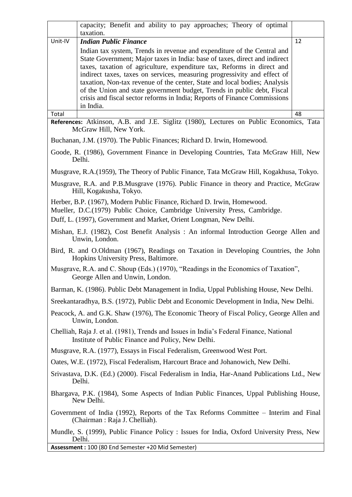|         | capacity; Benefit and ability to pay approaches; Theory of optimal<br>taxation.                                                                                                                                                                                                                                                                                                                                                                                                                                                                               |    |
|---------|---------------------------------------------------------------------------------------------------------------------------------------------------------------------------------------------------------------------------------------------------------------------------------------------------------------------------------------------------------------------------------------------------------------------------------------------------------------------------------------------------------------------------------------------------------------|----|
| Unit-IV | <b>Indian Public Finance</b>                                                                                                                                                                                                                                                                                                                                                                                                                                                                                                                                  | 12 |
|         | Indian tax system, Trends in revenue and expenditure of the Central and<br>State Government; Major taxes in India: base of taxes, direct and indirect<br>taxes, taxation of agriculture, expenditure tax, Reforms in direct and<br>indirect taxes, taxes on services, measuring progressivity and effect of<br>taxation, Non-tax revenue of the center, State and local bodies; Analysis<br>of the Union and state government budget, Trends in public debt, Fiscal<br>crisis and fiscal sector reforms in India; Reports of Finance Commissions<br>in India. |    |
| Total   |                                                                                                                                                                                                                                                                                                                                                                                                                                                                                                                                                               | 48 |
|         | References: Atkinson, A.B. and J.E. Siglitz (1980), Lectures on Public Economics, Tata<br>McGraw Hill, New York.                                                                                                                                                                                                                                                                                                                                                                                                                                              |    |
|         | Buchanan, J.M. (1970). The Public Finances; Richard D. Irwin, Homewood.                                                                                                                                                                                                                                                                                                                                                                                                                                                                                       |    |
|         | Goode, R. (1986), Government Finance in Developing Countries, Tata McGraw Hill, New<br>Delhi.                                                                                                                                                                                                                                                                                                                                                                                                                                                                 |    |
|         | Musgrave, R.A. (1959), The Theory of Public Finance, Tata McGraw Hill, Kogakhusa, Tokyo.                                                                                                                                                                                                                                                                                                                                                                                                                                                                      |    |
|         | Musgrave, R.A. and P.B.Musgrave (1976). Public Finance in theory and Practice, McGraw<br>Hill, Kogakusha, Tokyo.                                                                                                                                                                                                                                                                                                                                                                                                                                              |    |
|         | Herber, B.P. (1967), Modern Public Finance, Richard D. Irwin, Homewood.<br>Mueller, D.C.(1979) Public Choice, Cambridge University Press, Cambridge.<br>Duff, L. (1997), Government and Market, Orient Longman, New Delhi.                                                                                                                                                                                                                                                                                                                                    |    |
|         | Mishan, E.J. (1982), Cost Benefit Analysis: An informal Introduction George Allen and<br>Unwin, London.                                                                                                                                                                                                                                                                                                                                                                                                                                                       |    |
|         | Bird, R. and O.Oldman (1967), Readings on Taxation in Developing Countries, the John<br>Hopkins University Press, Baltimore.                                                                                                                                                                                                                                                                                                                                                                                                                                  |    |
|         | Musgrave, R.A. and C. Shoup (Eds.) (1970), "Readings in the Economics of Taxation",<br>George Allen and Unwin, London.                                                                                                                                                                                                                                                                                                                                                                                                                                        |    |
|         | Barman, K. (1986). Public Debt Management in India, Uppal Publishing House, New Delhi.                                                                                                                                                                                                                                                                                                                                                                                                                                                                        |    |
|         | Sreekantaradhya, B.S. (1972), Public Debt and Economic Development in India, New Delhi.                                                                                                                                                                                                                                                                                                                                                                                                                                                                       |    |
|         | Peacock, A. and G.K. Shaw (1976), The Economic Theory of Fiscal Policy, George Allen and<br>Unwin, London.                                                                                                                                                                                                                                                                                                                                                                                                                                                    |    |
|         | Chelliah, Raja J. et al. (1981), Trends and Issues in India's Federal Finance, National<br>Institute of Public Finance and Policy, New Delhi.                                                                                                                                                                                                                                                                                                                                                                                                                 |    |
|         | Musgrave, R.A. (1977), Essays in Fiscal Federalism, Greenwood West Port.                                                                                                                                                                                                                                                                                                                                                                                                                                                                                      |    |
|         | Oates, W.E. (1972), Fiscal Federalism, Harcourt Brace and Johanowich, New Delhi.                                                                                                                                                                                                                                                                                                                                                                                                                                                                              |    |
|         | Srivastava, D.K. (Ed.) (2000). Fiscal Federalism in India, Har-Anand Publications Ltd., New<br>Delhi.                                                                                                                                                                                                                                                                                                                                                                                                                                                         |    |
|         | Bhargava, P.K. (1984), Some Aspects of Indian Public Finances, Uppal Publishing House,<br>New Delhi.                                                                                                                                                                                                                                                                                                                                                                                                                                                          |    |
|         | Government of India (1992), Reports of the Tax Reforms Committee – Interim and Final<br>(Chairman : Raja J. Chelliah).                                                                                                                                                                                                                                                                                                                                                                                                                                        |    |
|         | Mundle, S. (1999), Public Finance Policy : Issues for India, Oxford University Press, New<br>Delhi.                                                                                                                                                                                                                                                                                                                                                                                                                                                           |    |
|         | Assessment: 100 (80 End Semester +20 Mid Semester)                                                                                                                                                                                                                                                                                                                                                                                                                                                                                                            |    |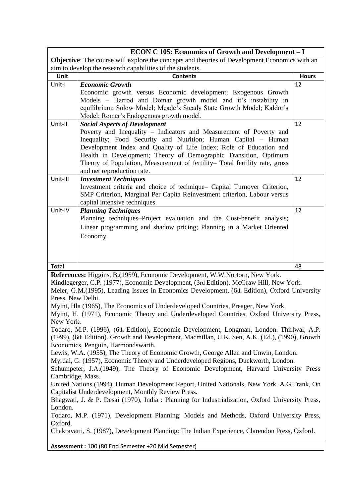| <b>ECON C 105: Economics of Growth and Development - I</b>                                                                                                                                                                                                                                                                                                                                                                                                                                                                                                                                                                                                                                                                                                                                                                                                                                                                                                                                                                                                                                                                                                                                                                                                                                                                                                                        |                                                                                                                                                                                                                                                                                                                                                                                                                                     |              |  |  |
|-----------------------------------------------------------------------------------------------------------------------------------------------------------------------------------------------------------------------------------------------------------------------------------------------------------------------------------------------------------------------------------------------------------------------------------------------------------------------------------------------------------------------------------------------------------------------------------------------------------------------------------------------------------------------------------------------------------------------------------------------------------------------------------------------------------------------------------------------------------------------------------------------------------------------------------------------------------------------------------------------------------------------------------------------------------------------------------------------------------------------------------------------------------------------------------------------------------------------------------------------------------------------------------------------------------------------------------------------------------------------------------|-------------------------------------------------------------------------------------------------------------------------------------------------------------------------------------------------------------------------------------------------------------------------------------------------------------------------------------------------------------------------------------------------------------------------------------|--------------|--|--|
|                                                                                                                                                                                                                                                                                                                                                                                                                                                                                                                                                                                                                                                                                                                                                                                                                                                                                                                                                                                                                                                                                                                                                                                                                                                                                                                                                                                   | <b>Objective:</b> The course will explore the concepts and theories of Development Economics with an                                                                                                                                                                                                                                                                                                                                |              |  |  |
|                                                                                                                                                                                                                                                                                                                                                                                                                                                                                                                                                                                                                                                                                                                                                                                                                                                                                                                                                                                                                                                                                                                                                                                                                                                                                                                                                                                   | aim to develop the research capabilities of the students.                                                                                                                                                                                                                                                                                                                                                                           |              |  |  |
| Unit                                                                                                                                                                                                                                                                                                                                                                                                                                                                                                                                                                                                                                                                                                                                                                                                                                                                                                                                                                                                                                                                                                                                                                                                                                                                                                                                                                              | <b>Contents</b>                                                                                                                                                                                                                                                                                                                                                                                                                     | <b>Hours</b> |  |  |
| Unit-I                                                                                                                                                                                                                                                                                                                                                                                                                                                                                                                                                                                                                                                                                                                                                                                                                                                                                                                                                                                                                                                                                                                                                                                                                                                                                                                                                                            | <b>Economic Growth</b><br>Economic growth versus Economic development; Exogenous Growth<br>Models - Harrod and Domar growth model and it's instability in<br>equilibrium; Solow Model; Meade's Steady State Growth Model; Kaldor's<br>Model; Romer's Endogenous growth model.                                                                                                                                                       | 12           |  |  |
| Unit-II                                                                                                                                                                                                                                                                                                                                                                                                                                                                                                                                                                                                                                                                                                                                                                                                                                                                                                                                                                                                                                                                                                                                                                                                                                                                                                                                                                           | <b>Social Aspects of Development</b><br>Poverty and Inequality - Indicators and Measurement of Poverty and<br>Inequality; Food Security and Nutrition; Human Capital - Human<br>Development Index and Quality of Life Index; Role of Education and<br>Health in Development; Theory of Demographic Transition, Optimum<br>Theory of Population, Measurement of fertility- Total fertility rate, gross<br>and net reproduction rate. | 12           |  |  |
| Unit-III                                                                                                                                                                                                                                                                                                                                                                                                                                                                                                                                                                                                                                                                                                                                                                                                                                                                                                                                                                                                                                                                                                                                                                                                                                                                                                                                                                          | <b>Investment Techniques</b><br>Investment criteria and choice of technique- Capital Turnover Criterion,<br>SMP Criterion, Marginal Per Capita Reinvestment criterion, Labour versus<br>capital intensive techniques.                                                                                                                                                                                                               | 12           |  |  |
| Unit-IV                                                                                                                                                                                                                                                                                                                                                                                                                                                                                                                                                                                                                                                                                                                                                                                                                                                                                                                                                                                                                                                                                                                                                                                                                                                                                                                                                                           | <b>Planning Techniques</b><br>Planning techniques-Project evaluation and the Cost-benefit analysis;<br>Linear programming and shadow pricing; Planning in a Market Oriented<br>Economy.                                                                                                                                                                                                                                             | 12           |  |  |
| Total                                                                                                                                                                                                                                                                                                                                                                                                                                                                                                                                                                                                                                                                                                                                                                                                                                                                                                                                                                                                                                                                                                                                                                                                                                                                                                                                                                             |                                                                                                                                                                                                                                                                                                                                                                                                                                     | 48           |  |  |
| References: Higgins, B.(1959), Economic Development, W.W.Nortorn, New York.<br>Kindlegerger, C.P. (1977), Economic Development, (3rd Edition), McGraw Hill, New York.<br>Meier, G.M.(1995), Leading Issues in Economics Development, (6th Edition), Oxford University<br>Press, New Delhi.<br>Myint, Hla (1965), The Economics of Underdeveloped Countries, Preager, New York.<br>Myint, H. (1971), Economic Theory and Underdeveloped Countries, Oxford University Press,<br>New York.<br>Todaro, M.P. (1996), (6th Edition), Economic Development, Longman, London. Thirlwal, A.P.<br>(1999), (6th Edition). Growth and Development, Macmillan, U.K. Sen, A.K. (Ed.), (1990), Growth<br>Economics, Penguin, Harmondswarth.<br>Lewis, W.A. (1955), The Theory of Economic Growth, George Allen and Unwin, London.<br>Myrdal, G. (1957), Economic Theory and Underdeveloped Regions, Duckworth, London.<br>Schumpeter, J.A.(1949), The Theory of Economic Development, Harvard University Press<br>Cambridge, Mass.<br>United Nations (1994), Human Development Report, United Nationals, New York. A.G.Frank, On<br>Capitalist Underdevelopment, Monthly Review Press.<br>Bhagwati, J. & P. Desai (1970), India : Planning for Industrialization, Oxford University Press,<br>London.<br>Todaro, M.P. (1971), Development Planning: Models and Methods, Oxford University Press, |                                                                                                                                                                                                                                                                                                                                                                                                                                     |              |  |  |
| Oxford.                                                                                                                                                                                                                                                                                                                                                                                                                                                                                                                                                                                                                                                                                                                                                                                                                                                                                                                                                                                                                                                                                                                                                                                                                                                                                                                                                                           | Chakravarti, S. (1987), Development Planning: The Indian Experience, Clarendon Press, Oxford.                                                                                                                                                                                                                                                                                                                                       |              |  |  |
|                                                                                                                                                                                                                                                                                                                                                                                                                                                                                                                                                                                                                                                                                                                                                                                                                                                                                                                                                                                                                                                                                                                                                                                                                                                                                                                                                                                   | Assessment: 100 (80 End Semester +20 Mid Semester)                                                                                                                                                                                                                                                                                                                                                                                  |              |  |  |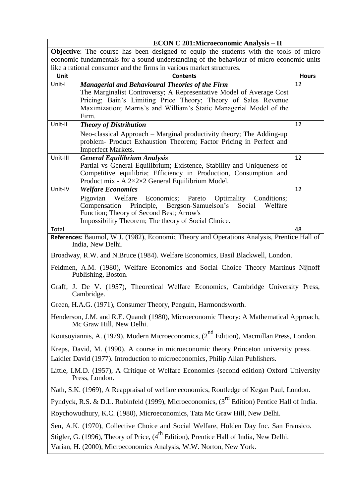|          | <b>ECON C 201:Microeconomic Analysis - II</b>                                                                                                                                                                                                                                   |              |  |
|----------|---------------------------------------------------------------------------------------------------------------------------------------------------------------------------------------------------------------------------------------------------------------------------------|--------------|--|
|          | Objective: The course has been designed to equip the students with the tools of micro                                                                                                                                                                                           |              |  |
|          | economic fundamentals for a sound understanding of the behaviour of micro economic units                                                                                                                                                                                        |              |  |
|          | like a rational consumer and the firms in various market structures.                                                                                                                                                                                                            |              |  |
| Unit     | Contents                                                                                                                                                                                                                                                                        | <b>Hours</b> |  |
| Unit-I   | <b>Managerial and Behavioural Theories of the Firm</b><br>The Marginalist Controversy; A Representative Model of Average Cost<br>Pricing; Bain's Limiting Price Theory; Theory of Sales Revenue<br>Maximization; Marris's and William's Static Managerial Model of the<br>Firm. | 12           |  |
| Unit-II  | <b>Theory of Distribution</b>                                                                                                                                                                                                                                                   | 12           |  |
|          | Neo-classical Approach – Marginal productivity theory; The Adding-up<br>problem- Product Exhaustion Theorem; Factor Pricing in Perfect and<br><b>Imperfect Markets.</b>                                                                                                         |              |  |
| Unit-III | <b>General Equilibrium Analysis</b>                                                                                                                                                                                                                                             | 12           |  |
|          | Partial vs General Equilibrium; Existence, Stability and Uniqueness of<br>Competitive equilibria; Efficiency in Production, Consumption and<br>Product mix - A 2×2×2 General Equilibrium Model.                                                                                 |              |  |
| Unit-IV  | <b>Welfare Economics</b>                                                                                                                                                                                                                                                        | 12           |  |
|          | Economics; Pareto Optimality Conditions;<br>Pigovian<br>Welfare<br>Compensation Principle, Bergson-Samuelson's<br>Social<br>Welfare<br>Function; Theory of Second Best; Arrow's<br>Impossibility Theorem; The theory of Social Choice.                                          |              |  |
| Total    |                                                                                                                                                                                                                                                                                 | 48           |  |
|          | References: Baumol, W.J. (1982), Economic Theory and Operations Analysis, Prentice Hall of<br>India, New Delhi.                                                                                                                                                                 |              |  |
|          | Broadway, R.W. and N.Bruce (1984). Welfare Economics, Basil Blackwell, London.                                                                                                                                                                                                  |              |  |
|          | Feldmen, A.M. (1980), Welfare Economics and Social Choice Theory Martinus Nijnoff<br>Publishing, Boston.                                                                                                                                                                        |              |  |
|          | Graff, J. De V. (1957), Theoretical Welfare Economics, Cambridge University Press,<br>Cambridge.                                                                                                                                                                                |              |  |
|          | Green, H.A.G. (1971), Consumer Theory, Penguin, Harmondsworth.                                                                                                                                                                                                                  |              |  |
|          | Henderson, J.M. and R.E. Quandt (1980), Microeconomic Theory: A Mathematical Approach,<br>Mc Graw Hill, New Delhi.                                                                                                                                                              |              |  |
|          | Koutsoyiannis, A. (1979), Modern Microeconomics, (2 <sup>nd</sup> Edition), Macmillan Press, London.                                                                                                                                                                            |              |  |
|          | Kreps, David, M. (1990). A course in microeconomic theory Princeton university press.<br>Laidler David (1977). Introduction to microeconomics, Philip Allan Publishers.                                                                                                         |              |  |
|          | Little, I.M.D. (1957), A Critique of Welfare Economics (second edition) Oxford University<br>Press, London.                                                                                                                                                                     |              |  |
|          | Nath, S.K. (1969), A Reappraisal of welfare economics, Routledge of Kegan Paul, London.                                                                                                                                                                                         |              |  |
|          | Pyndyck, R.S. & D.L. Rubinfeld (1999), Microeconomics, (3 <sup>rd</sup> Edition) Pentice Hall of India.                                                                                                                                                                         |              |  |
|          | Roychowudhury, K.C. (1980), Microeconomics, Tata Mc Graw Hill, New Delhi.                                                                                                                                                                                                       |              |  |
|          | Sen, A.K. (1970), Collective Choice and Social Welfare, Holden Day Inc. San Fransico.                                                                                                                                                                                           |              |  |
|          | Stigler, G. (1996), Theory of Price, $(4^{th}$ Edition), Prentice Hall of India, New Delhi.<br>Varian, H. (2000), Microeconomics Analysis, W.W. Norton, New York.                                                                                                               |              |  |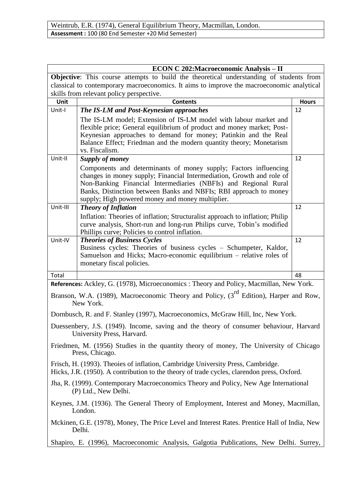| <b>ECON C 202:Macroeconomic Analysis - II</b>                                                                |                                                                                                                                                                               |              |  |  |
|--------------------------------------------------------------------------------------------------------------|-------------------------------------------------------------------------------------------------------------------------------------------------------------------------------|--------------|--|--|
|                                                                                                              | <b>Objective:</b> This course attempts to build the theoretical understanding of students from                                                                                |              |  |  |
|                                                                                                              | classical to contemporary macroeconomics. It aims to improve the macroeconomic analytical                                                                                     |              |  |  |
|                                                                                                              | skills from relevant policy perspective.                                                                                                                                      |              |  |  |
| Unit                                                                                                         | <b>Contents</b>                                                                                                                                                               | <b>Hours</b> |  |  |
| Unit-I                                                                                                       | The IS-LM and Post-Keynesian approaches                                                                                                                                       | 12           |  |  |
|                                                                                                              | The IS-LM model; Extension of IS-LM model with labour market and<br>flexible price; General equilibrium of product and money market; Post-                                    |              |  |  |
|                                                                                                              | Keynesian approaches to demand for money; Patinkin and the Real                                                                                                               |              |  |  |
|                                                                                                              | Balance Effect; Friedman and the modern quantity theory; Monetarism                                                                                                           |              |  |  |
|                                                                                                              | vs. Fiscalism.                                                                                                                                                                |              |  |  |
| Unit-II                                                                                                      | <b>Supply of money</b>                                                                                                                                                        | 12           |  |  |
|                                                                                                              | Components and determinants of money supply; Factors influencing                                                                                                              |              |  |  |
|                                                                                                              | changes in money supply; Financial Intermediation, Growth and role of                                                                                                         |              |  |  |
|                                                                                                              | Non-Banking Financial Intermediaries (NBFIs) and Regional Rural<br>Banks, Distinction between Banks and NBFIs; RBI approach to money                                          |              |  |  |
|                                                                                                              | supply; High powered money and money multiplier.                                                                                                                              |              |  |  |
| Unit-III                                                                                                     | <b>Theory of Inflation</b>                                                                                                                                                    | 12           |  |  |
|                                                                                                              | Inflation: Theories of inflation; Structuralist approach to inflation; Philip                                                                                                 |              |  |  |
|                                                                                                              | curve analysis, Short-run and long-run Philips curve, Tobin's modified                                                                                                        |              |  |  |
|                                                                                                              | Phillips curve; Policies to control inflation.                                                                                                                                |              |  |  |
| Unit-IV                                                                                                      | <b>Theories of Business Cycles</b>                                                                                                                                            | 12           |  |  |
|                                                                                                              | Business cycles: Theories of business cycles – Schumpeter, Kaldor,<br>Samuelson and Hicks; Macro-economic equilibrium – relative roles of                                     |              |  |  |
|                                                                                                              | monetary fiscal policies.                                                                                                                                                     |              |  |  |
| Total                                                                                                        |                                                                                                                                                                               | 48           |  |  |
|                                                                                                              | References: Ackley, G. (1978), Microeconomics: Theory and Policy, Macmillan, New York.                                                                                        |              |  |  |
|                                                                                                              |                                                                                                                                                                               |              |  |  |
|                                                                                                              | Branson, W.A. (1989), Macroeconomic Theory and Policy, (3 <sup>rd</sup> Edition), Harper and Row,<br>New York.                                                                |              |  |  |
|                                                                                                              | Dornbusch, R. and F. Stanley (1997), Macroeconomics, McGraw Hill, Inc, New York.                                                                                              |              |  |  |
|                                                                                                              | Duessenbery, J.S. (1949). Income, saving and the theory of consumer behaviour, Harvard<br>University Press, Harvard.                                                          |              |  |  |
|                                                                                                              | Friedmen, M. (1956) Studies in the quantity theory of money, The University of Chicago<br>Press, Chicago.                                                                     |              |  |  |
|                                                                                                              | Frisch, H. (1993). Theoies of inflation, Cambridge University Press, Cambridge.<br>Hicks, J.R. (1950). A contribution to the theory of trade cycles, clarendon press, Oxford. |              |  |  |
| Jha, R. (1999). Contemporary Macroeconomics Theory and Policy, New Age International<br>(P) Ltd., New Delhi. |                                                                                                                                                                               |              |  |  |
|                                                                                                              | Keynes, J.M. (1936). The General Theory of Employment, Interest and Money, Macmillan,<br>London.                                                                              |              |  |  |
|                                                                                                              | Mckinen, G.E. (1978), Money, The Price Level and Interest Rates. Prentice Hall of India, New<br>Delhi.                                                                        |              |  |  |
|                                                                                                              | Shapiro, E. (1996), Macroeconomic Analysis, Galgotia Publications, New Delhi. Surrey,                                                                                         |              |  |  |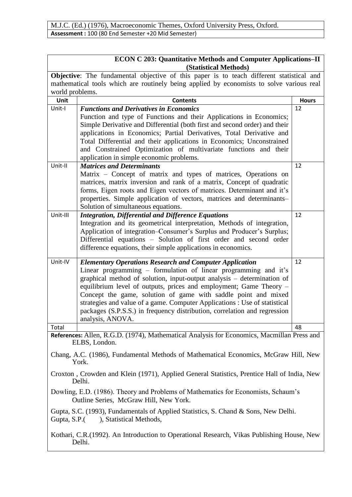| <b>ECON C 203: Quantitative Methods and Computer Applications-II</b><br>(Statistical Methods)                                 |                                                                                                             |              |
|-------------------------------------------------------------------------------------------------------------------------------|-------------------------------------------------------------------------------------------------------------|--------------|
|                                                                                                                               | <b>Objective:</b> The fundamental objective of this paper is to teach different statistical and             |              |
| mathematical tools which are routinely being applied by economists to solve various real                                      |                                                                                                             |              |
| world problems.                                                                                                               |                                                                                                             |              |
| Unit                                                                                                                          | <b>Contents</b>                                                                                             | <b>Hours</b> |
| Unit-I                                                                                                                        | <b>Functions and Derivatives in Economics</b>                                                               | 12           |
|                                                                                                                               | Function and type of Functions and their Applications in Economics;                                         |              |
|                                                                                                                               | Simple Derivative and Differential (both first and second order) and their                                  |              |
|                                                                                                                               | applications in Economics; Partial Derivatives, Total Derivative and                                        |              |
|                                                                                                                               | Total Differential and their applications in Economics; Unconstrained                                       |              |
|                                                                                                                               | and Constrained Optimization of multivariate functions and their                                            |              |
|                                                                                                                               | application in simple economic problems.                                                                    |              |
| Unit-II                                                                                                                       | <b>Matrices and Determinants</b>                                                                            | 12           |
|                                                                                                                               | Matrix – Concept of matrix and types of matrices, Operations on                                             |              |
|                                                                                                                               | matrices, matrix inversion and rank of a matrix, Concept of quadratic                                       |              |
|                                                                                                                               | forms, Eigen roots and Eigen vectors of matrices. Determinant and it's                                      |              |
|                                                                                                                               | properties. Simple application of vectors, matrices and determinants-                                       |              |
|                                                                                                                               | Solution of simultaneous equations.                                                                         |              |
| Unit-III                                                                                                                      | <b>Integration, Differential and Difference Equations</b>                                                   | 12           |
|                                                                                                                               | Integration and its geometrical interpretation, Methods of integration,                                     |              |
|                                                                                                                               | Application of integration–Consumer's Surplus and Producer's Surplus;                                       |              |
|                                                                                                                               | Differential equations - Solution of first order and second order                                           |              |
|                                                                                                                               | difference equations, their simple applications in economics.                                               |              |
| Unit-IV                                                                                                                       | <b>Elementary Operations Research and Computer Application</b>                                              | 12           |
|                                                                                                                               | Linear programming – formulation of linear programming and it's                                             |              |
|                                                                                                                               | graphical method of solution, input-output analysis - determination of                                      |              |
|                                                                                                                               | equilibrium level of outputs, prices and employment; Game Theory -                                          |              |
|                                                                                                                               | Concept the game, solution of game with saddle point and mixed                                              |              |
|                                                                                                                               | strategies and value of a game. Computer Applications : Use of statistical                                  |              |
|                                                                                                                               | packages (S.P.S.S.) in frequency distribution, correlation and regression                                   |              |
|                                                                                                                               | analysis, ANOVA.                                                                                            |              |
| Total                                                                                                                         |                                                                                                             | 48           |
|                                                                                                                               | References: Allen, R.G.D. (1974), Mathematical Analysis for Economics, Macmillan Press and<br>ELBS, London. |              |
|                                                                                                                               | Chang, A.C. (1986), Fundamental Methods of Mathematical Economics, McGraw Hill, New<br>York.                |              |
|                                                                                                                               |                                                                                                             |              |
|                                                                                                                               | Croxton, Crowden and Klein (1971), Applied General Statistics, Prentice Hall of India, New<br>Delhi.        |              |
| Dowling, E.D. (1986). Theory and Problems of Mathematics for Economists, Schaum's<br>Outline Series, McGraw Hill, New York.   |                                                                                                             |              |
| Gupta, S.C. (1993), Fundamentals of Applied Statistics, S. Chand & Sons, New Delhi.<br>), Statistical Methods,<br>Gupta, S.P. |                                                                                                             |              |
| Kothari, C.R. (1992). An Introduction to Operational Research, Vikas Publishing House, New<br>Delhi.                          |                                                                                                             |              |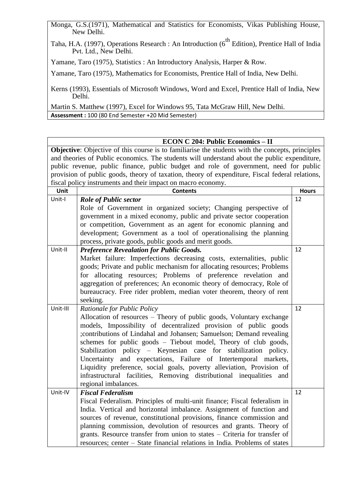Monga, G.S.(1971), Mathematical and Statistics for Economists, Vikas Publishing House, New Delhi.

Taha, H.A. (1997), Operations Research : An Introduction (6<sup>th</sup> Edition), Prentice Hall of India Pvt. Ltd., New Delhi.

Yamane, Taro (1975), Statistics : An Introductory Analysis, Harper & Row.

Yamane, Taro (1975), Mathematics for Economists, Prentice Hall of India, New Delhi.

Kerns (1993), Essentials of Microsoft Windows, Word and Excel, Prentice Hall of India, New Delhi.

Martin S. Matthew (1997), Excel for Windows 95, Tata McGraw Hill, New Delhi. **Assessment :** 100 (80 End Semester +20 Mid Semester)

#### **ECON C 204: Public Economics – II**

**Objective**: Objective of this course is to familiarise the students with the concepts, principles and theories of Public economics. The students will understand about the public expenditure, public revenue, public finance, public budget and role of government, need for public provision of public goods, theory of taxation, theory of expenditure, Fiscal federal relations, fiscal policy instruments and their impact on macro economy.

| Unit     | <b>Contents</b>                                                            | <b>Hours</b> |
|----------|----------------------------------------------------------------------------|--------------|
| Unit-I   | <b>Role of Public sector</b>                                               | 12           |
|          | Role of Government in organized society; Changing perspective of           |              |
|          | government in a mixed economy, public and private sector cooperation       |              |
|          | or competition, Government as an agent for economic planning and           |              |
|          | development; Government as a tool of operationalising the planning         |              |
|          | process, private goods, public goods and merit goods.                      |              |
| Unit-II  | <b>Preference Revealation for Public Goods.</b>                            | 12           |
|          | Market failure: Imperfections decreasing costs, externalities, public      |              |
|          | goods; Private and public mechanism for allocating resources; Problems     |              |
|          | for allocating resources; Problems of preference revelation and            |              |
|          | aggregation of preferences; An economic theory of democracy, Role of       |              |
|          | bureaucracy. Free rider problem, median voter theorem, theory of rent      |              |
|          | seeking.                                                                   |              |
| Unit-III | Rationale for Public Policy                                                | 12           |
|          | Allocation of resources – Theory of public goods, Voluntary exchange       |              |
|          | models, Impossibility of decentralized provision of public goods           |              |
|          | ;contributions of Lindahal and Johansen; Samuelson; Demand revealing       |              |
|          | schemes for public goods - Tiebout model, Theory of club goods,            |              |
|          | Stabilization policy - Keynesian case for stabilization policy.            |              |
|          | Uncertainty and expectations, Failure of Intertemporal markets,            |              |
|          | Liquidity preference, social goals, poverty alleviation, Provision of      |              |
|          | infrastructural facilities, Removing distributional inequalities and       |              |
|          | regional imbalances.                                                       |              |
| Unit-IV  | <b>Fiscal Federalism</b>                                                   | 12           |
|          | Fiscal Federalism. Principles of multi-unit finance; Fiscal federalism in  |              |
|          | India. Vertical and horizontal imbalance. Assignment of function and       |              |
|          | sources of revenue, constitutional provisions, finance commission and      |              |
|          | planning commission, devolution of resources and grants. Theory of         |              |
|          | grants. Resource transfer from union to states - Criteria for transfer of  |              |
|          | resources; center – State financial relations in India. Problems of states |              |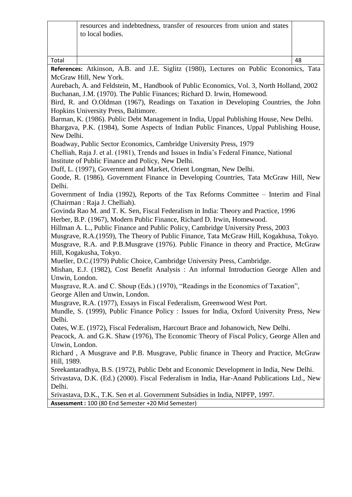| to local bodies. |  |
|------------------|--|
|------------------|--|

Total 48 **References:** Atkinson, A.B. and J.E. Siglitz (1980), Lectures on Public Economics, Tata McGraw Hill, New York. Aurebach, A. and Feldstein, M., Handbook of Public Economics, Vol. 3, North Holland, 2002 Buchanan, J.M. (1970). The Public Finances; Richard D. Irwin, Homewood. Bird, R. and O.Oldman (1967), Readings on Taxation in Developing Countries, the John Hopkins University Press, Baltimore. Barman, K. (1986). Public Debt Management in India, Uppal Publishing House, New Delhi. Bhargava, P.K. (1984), Some Aspects of Indian Public Finances, Uppal Publishing House, New Delhi. Boadway, Public Sector Economics, Cambridge University Press, 1979 Chelliah, Raja J. et al. (1981), Trends and Issues in India's Federal Finance, National Institute of Public Finance and Policy, New Delhi. Duff, L. (1997), Government and Market, Orient Longman, New Delhi. Goode, R. (1986), Government Finance in Developing Countries, Tata McGraw Hill, New Delhi. Government of India (1992), Reports of the Tax Reforms Committee – Interim and Final (Chairman : Raja J. Chelliah). Govinda Rao M. and T. K. Sen, Fiscal Federalism in India: Theory and Practice, 1996 Herber, B.P. (1967), Modern Public Finance, Richard D. Irwin, Homewood. Hillman A. L., Public Finance and Public Policy, Cambridge University Press, 2003 Musgrave, R.A.(1959), The Theory of Public Finance, Tata McGraw Hill, Kogakhusa, Tokyo. Musgrave, R.A. and P.B.Musgrave (1976). Public Finance in theory and Practice, McGraw Hill, Kogakusha, Tokyo. Mueller, D.C.(1979) Public Choice, Cambridge University Press, Cambridge. Mishan, E.J. (1982), Cost Benefit Analysis : An informal Introduction George Allen and Unwin, London. Musgrave, R.A. and C. Shoup (Eds.) (1970), "Readings in the Economics of Taxation", George Allen and Unwin, London. Musgrave, R.A. (1977), Essays in Fiscal Federalism, Greenwood West Port. Mundle, S. (1999), Public Finance Policy : Issues for India, Oxford University Press, New Delhi. Oates, W.E. (1972), Fiscal Federalism, Harcourt Brace and Johanowich, New Delhi. Peacock, A. and G.K. Shaw (1976), The Economic Theory of Fiscal Policy, George Allen and Unwin, London. Richard , A Musgrave and P.B. Musgrave, Public finance in Theory and Practice, McGraw Hill, 1989. Sreekantaradhya, B.S. (1972), Public Debt and Economic Development in India, New Delhi. Srivastava, D.K. (Ed.) (2000). Fiscal Federalism in India, Har-Anand Publications Ltd., New Delhi. Srivastava, D.K., T.K. Sen et al. Government Subsidies in India, NIPFP, 1997. **Assessment :** 100 (80 End Semester +20 Mid Semester)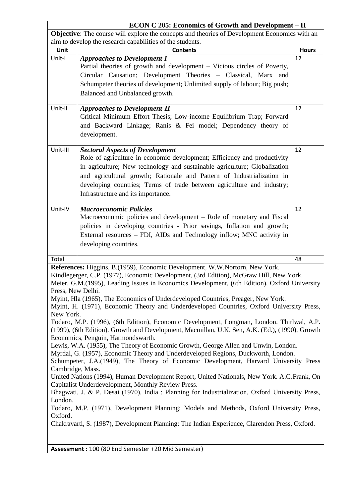| <b>ECON C 205: Economics of Growth and Development - II</b>                                   |                                                                                                 |              |
|-----------------------------------------------------------------------------------------------|-------------------------------------------------------------------------------------------------|--------------|
| Objective: The course will explore the concepts and theories of Development Economics with an |                                                                                                 |              |
|                                                                                               | aim to develop the research capabilities of the students.                                       |              |
| <b>Unit</b>                                                                                   | <b>Contents</b>                                                                                 | <b>Hours</b> |
| Unit-I                                                                                        | <b>Approaches to Development-I</b>                                                              | 12           |
|                                                                                               | Partial theories of growth and development – Vicious circles of Poverty,                        |              |
|                                                                                               | Circular Causation; Development Theories - Classical, Marx and                                  |              |
|                                                                                               | Schumpeter theories of development; Unlimited supply of labour; Big push;                       |              |
|                                                                                               | Balanced and Unbalanced growth.                                                                 |              |
|                                                                                               |                                                                                                 |              |
| Unit-II                                                                                       | <b>Approaches to Development-II</b>                                                             | 12           |
|                                                                                               | Critical Minimum Effort Thesis; Low-income Equilibrium Trap; Forward                            |              |
|                                                                                               | and Backward Linkage; Ranis & Fei model; Dependency theory of                                   |              |
|                                                                                               | development.                                                                                    |              |
|                                                                                               |                                                                                                 |              |
| Unit-III                                                                                      | <b>Sectoral Aspects of Development</b>                                                          | 12           |
|                                                                                               | Role of agriculture in economic development; Efficiency and productivity                        |              |
|                                                                                               | in agriculture; New technology and sustainable agriculture; Globalization                       |              |
|                                                                                               | and agricultural growth; Rationale and Pattern of Industrialization in                          |              |
|                                                                                               | developing countries; Terms of trade between agriculture and industry;                          |              |
|                                                                                               | Infrastructure and its importance.                                                              |              |
|                                                                                               |                                                                                                 |              |
| Unit-IV                                                                                       | <b>Macroeconomic Policies</b>                                                                   | 12           |
|                                                                                               | Macroeconomic policies and development – Role of monetary and Fiscal                            |              |
|                                                                                               | policies in developing countries - Prior savings, Inflation and growth;                         |              |
|                                                                                               | External resources - FDI, AIDs and Technology inflow; MNC activity in                           |              |
|                                                                                               | developing countries.                                                                           |              |
|                                                                                               |                                                                                                 |              |
| Total                                                                                         |                                                                                                 | 48           |
|                                                                                               | References: Higgins, B.(1959), Economic Development, W.W.Nortorn, New York.                     |              |
|                                                                                               | Kindlegerger, C.P. (1977), Economic Development, (3rd Edition), McGraw Hill, New York.          |              |
|                                                                                               | Meier, G.M.(1995), Leading Issues in Economics Development, (6th Edition), Oxford University    |              |
| Press, New Delhi.                                                                             |                                                                                                 |              |
|                                                                                               | Myint, Hla (1965), The Economics of Underdeveloped Countries, Preager, New York.                |              |
|                                                                                               | Myint, H. (1971), Economic Theory and Underdeveloped Countries, Oxford University Press,        |              |
| New York.                                                                                     |                                                                                                 |              |
|                                                                                               | Todaro, M.P. (1996), (6th Edition), Economic Development, Longman, London. Thirlwal, A.P.       |              |
|                                                                                               | (1999), (6th Edition). Growth and Development, Macmillan, U.K. Sen, A.K. (Ed.), (1990), Growth  |              |
|                                                                                               | Economics, Penguin, Harmondswarth.                                                              |              |
|                                                                                               | Lewis, W.A. (1955), The Theory of Economic Growth, George Allen and Unwin, London.              |              |
|                                                                                               | Myrdal, G. (1957), Economic Theory and Underdeveloped Regions, Duckworth, London.               |              |
|                                                                                               | Schumpeter, J.A. (1949), The Theory of Economic Development, Harvard University Press           |              |
| Cambridge, Mass.                                                                              | United Nations (1994), Human Development Report, United Nationals, New York. A.G.Frank, On      |              |
|                                                                                               | Capitalist Underdevelopment, Monthly Review Press.                                              |              |
|                                                                                               | Bhagwati, J. & P. Desai (1970), India: Planning for Industrialization, Oxford University Press, |              |
| London.                                                                                       |                                                                                                 |              |
|                                                                                               | Todaro, M.P. (1971), Development Planning: Models and Methods, Oxford University Press,         |              |
| Oxford.                                                                                       |                                                                                                 |              |
|                                                                                               | Chakravarti, S. (1987), Development Planning: The Indian Experience, Clarendon Press, Oxford.   |              |
|                                                                                               |                                                                                                 |              |
|                                                                                               |                                                                                                 |              |
|                                                                                               | Assessment: 100 (80 End Semester +20 Mid Semester)                                              |              |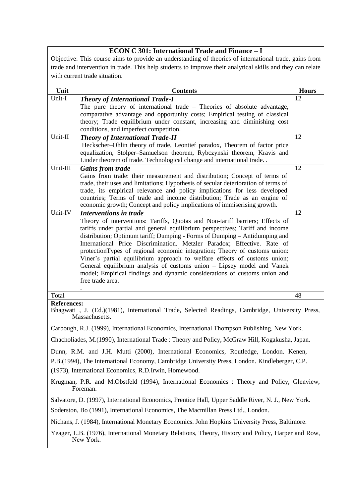|                                                                                                                 | <b>ECON C 301: International Trade and Finance - I</b>                                                                                                          |              |
|-----------------------------------------------------------------------------------------------------------------|-----------------------------------------------------------------------------------------------------------------------------------------------------------------|--------------|
|                                                                                                                 | Objective: This course aims to provide an understanding of theories of international trade, gains from                                                          |              |
| trade and intervention in trade. This help students to improve their analytical skills and they can relate      |                                                                                                                                                                 |              |
|                                                                                                                 | with current trade situation.                                                                                                                                   |              |
| Unit                                                                                                            | <b>Contents</b>                                                                                                                                                 | <b>Hours</b> |
| Unit-I                                                                                                          | <b>Theory of International Trade-I</b>                                                                                                                          | 12           |
|                                                                                                                 | The pure theory of international trade $-$ Theories of absolute advantage,                                                                                      |              |
|                                                                                                                 | comparative advantage and opportunity costs; Empirical testing of classical<br>theory; Trade equilibrium under constant, increasing and diminishing cost        |              |
|                                                                                                                 | conditions, and imperfect competition.                                                                                                                          |              |
| Unit-II                                                                                                         | <b>Theory of International Trade-II</b>                                                                                                                         | 12           |
|                                                                                                                 | Heckscher-Ohlin theory of trade, Leontief paradox, Theorem of factor price                                                                                      |              |
|                                                                                                                 | equalization, Stolper-Samuelson theorem, Rybczynski theorem, Kravis and                                                                                         |              |
|                                                                                                                 | Linder theorem of trade. Technological change and international trade                                                                                           |              |
| Unit-III                                                                                                        | <b>Gains from trade</b>                                                                                                                                         | 12           |
|                                                                                                                 | Gains from trade: their measurement and distribution; Concept of terms of                                                                                       |              |
|                                                                                                                 | trade, their uses and limitations; Hypothesis of secular deterioration of terms of<br>trade, its empirical relevance and policy implications for less developed |              |
|                                                                                                                 | countries; Terms of trade and income distribution; Trade as an engine of                                                                                        |              |
|                                                                                                                 | economic growth; Concept and policy implications of immiserising growth.                                                                                        |              |
| Unit-IV                                                                                                         | <b>Interventions in trade</b>                                                                                                                                   | 12           |
|                                                                                                                 | Theory of interventions: Tariffs, Quotas and Non-tariff barriers; Effects of                                                                                    |              |
|                                                                                                                 | tariffs under partial and general equilibrium perspectives; Tariff and income                                                                                   |              |
|                                                                                                                 | distribution; Optimum tariff; Dumping - Forms of Dumping - Antidumping and<br>International Price Discrimination. Metzler Paradox; Effective. Rate of           |              |
|                                                                                                                 | protectionTypes of regional economic integration; Theory of customs union:                                                                                      |              |
|                                                                                                                 | Viner's partial equilibrium approach to welfare effects of customs union;                                                                                       |              |
|                                                                                                                 | General equilibrium analysis of customs union - Lipsey model and Vanek                                                                                          |              |
|                                                                                                                 | model; Empirical findings and dynamic considerations of customs union and                                                                                       |              |
|                                                                                                                 | free trade area.                                                                                                                                                |              |
| Total                                                                                                           |                                                                                                                                                                 | 48           |
| <b>References:</b>                                                                                              |                                                                                                                                                                 |              |
|                                                                                                                 | Bhagwati, J. (Ed.)(1981), International Trade, Selected Readings, Cambridge, University Press,<br>Massachusetts.                                                |              |
|                                                                                                                 | Carbough, R.J. (1999), International Economics, International Thompson Publishing, New York.                                                                    |              |
|                                                                                                                 | Chacholiades, M. (1990), International Trade: Theory and Policy, McGraw Hill, Kogakusha, Japan.                                                                 |              |
|                                                                                                                 | Dunn, R.M. and J.H. Mutti (2000), International Economics, Routledge, London. Kenen,                                                                            |              |
|                                                                                                                 | P.B.(1994), The International Economy, Cambridge University Press, London. Kindleberger, C.P.                                                                   |              |
|                                                                                                                 | (1973), International Economics, R.D.Irwin, Homewood.                                                                                                           |              |
| Krugman, P.R. and M.Obstfeld (1994), International Economics : Theory and Policy, Glenview,<br>Foreman.         |                                                                                                                                                                 |              |
|                                                                                                                 | Salvatore, D. (1997), International Economics, Prentice Hall, Upper Saddle River, N. J., New York.                                                              |              |
|                                                                                                                 | Soderston, Bo (1991), International Economics, The Macmillan Press Ltd., London.                                                                                |              |
|                                                                                                                 | Nichans, J. (1984), International Monetary Economics. John Hopkins University Press, Baltimore.                                                                 |              |
| Yeager, L.B. (1976), International Monetary Relations, Theory, History and Policy, Harper and Row,<br>New York. |                                                                                                                                                                 |              |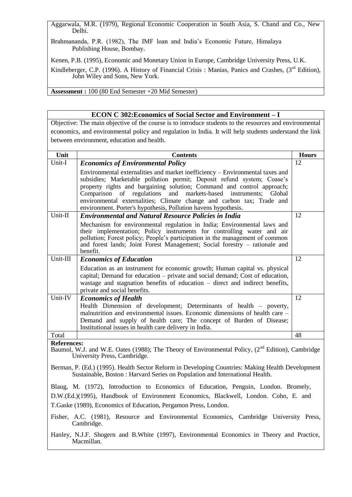Aggarwala, M.R. (1979), Regional Economic Cooperation in South Asia, S. Chand and Co., New Delhi.

Brahmananda, P.R. (1982), The IMF loan and India's Economic Future, Himalaya Publishing House, Bombay.

Kenen, P.B. (1995), Economic and Monetary Union in Europe, Cambridge University Press, U.K.

Kindleberger, C.P. (1996). A History of Financial Crisis : Manias, Panics and Crashes, (3<sup>rd</sup> Edition), John Wiley and Sons, New York.

**Assessment :** 100 (80 End Semester +20 Mid Semester)

#### **ECON C 302:Economics of Social Sector and Environment – I**

Objective: The main objective of the course is to introduce students to the resources and environmental economics, and environmental policy and regulation in India. It will help students understand the link between environment, education and health.

| Unit                                                                                                                                                                            | <b>Contents</b>                                                                                                                                                                                                                                                                                                                                                                                                                                             | <b>Hours</b> |
|---------------------------------------------------------------------------------------------------------------------------------------------------------------------------------|-------------------------------------------------------------------------------------------------------------------------------------------------------------------------------------------------------------------------------------------------------------------------------------------------------------------------------------------------------------------------------------------------------------------------------------------------------------|--------------|
| Unit-I                                                                                                                                                                          | <b>Economics of Environmental Policy</b>                                                                                                                                                                                                                                                                                                                                                                                                                    | 12           |
|                                                                                                                                                                                 | Environmental externalities and market inefficiency – Environmental taxes and<br>subsidies; Marketable pollution permit; Deposit refund system; Coase's<br>property rights and bargaining solution; Command and control approach;<br>regulations<br>markets-based<br>Comparison of<br>and<br>instruments; Global<br>environmental externalities; Climate change and carbon tax; Trade and<br>environment. Porter's hypothesis, Pollution havens hypothesis. |              |
| Unit-II                                                                                                                                                                         | <b>Environmental and Natural Resource Policies in India</b>                                                                                                                                                                                                                                                                                                                                                                                                 | 12           |
|                                                                                                                                                                                 | Mechanism for environmental regulation in India; Environmental laws and<br>their implementation; Policy instruments for controlling water and air<br>pollution; Forest policy; People's participation in the management of common<br>and forest lands; Joint Forest Management; Social forestry – rationale and<br>benefit.                                                                                                                                 |              |
| Unit-III                                                                                                                                                                        | <b>Economics of Education</b>                                                                                                                                                                                                                                                                                                                                                                                                                               | 12           |
|                                                                                                                                                                                 | Education as an instrument for economic growth; Human capital vs. physical<br>capital; Demand for education – private and social demand; Cost of education,<br>wastage and stagnation benefits of education - direct and indirect benefits,<br>private and social benefits.                                                                                                                                                                                 |              |
| Unit-IV                                                                                                                                                                         | <b>Economics of Health</b>                                                                                                                                                                                                                                                                                                                                                                                                                                  | 12           |
|                                                                                                                                                                                 | Health Dimension of development; Determinants of health - poverty,<br>malnutrition and environmental issues. Economic dimensions of health care –<br>Demand and supply of health care; The concept of Burden of Disease;<br>Institutional issues in health care delivery in India.                                                                                                                                                                          |              |
| Total                                                                                                                                                                           |                                                                                                                                                                                                                                                                                                                                                                                                                                                             | 48           |
| <b>References:</b><br>Baumol, W.J. and W.E. Oates (1988); The Theory of Environmental Policy, (2 <sup>nd</sup> Edition), Cambridge<br>University Press, Cambridge.              |                                                                                                                                                                                                                                                                                                                                                                                                                                                             |              |
| Berman, P. (Ed.) (1995). Health Sector Reform in Developing Countries: Making Health Development<br>Sustainable, Boston: Harvard Series on Population and International Health. |                                                                                                                                                                                                                                                                                                                                                                                                                                                             |              |

Blaug, M. (1972), Introduction to Economics of Education, Penguin, London. Bromely, D.W.(Ed.)(1995), Handbook of Environment Economics, Blackwell, London. Cohn, E. and T.Gaske (1989), Economics of Education, Pergamon Press, London.

Fisher, A.C. (1981), Resource and Environmental Economics, Cambridge University Press, Cambridge.

Hanley, N.J.F. Shogern and B.White (1997), Environmental Economics in Theory and Practice, Macmillan.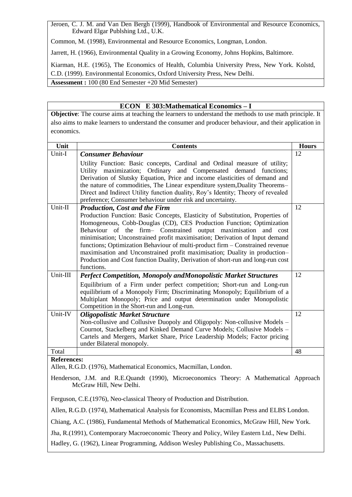Jeroen, C. J. M. and Van Den Bergh (1999), Handbook of Environmental and Resource Economics, Edward Elgar Publshing Ltd., U.K.

Common, M. (1998), Environmental and Resource Economics, Longman, London.

Jarrett, H. (1966), Environmental Quality in a Growing Economy, Johns Hopkins, Baltimore.

Kiarman, H.E. (1965), The Economics of Health, Columbia University Press, New York. Kolstd, C.D. (1999). Environmental Economics, Oxford University Press, New Delhi.

**Assessment :** 100 (80 End Semester +20 Mid Semester)

#### **ECON E 303:Mathematical Economics – I**

**Objective**: The course aims at teaching the learners to understand the methods to use math principle. It also aims to make learners to understand the consumer and producer behaviour, and their application in economics.

| Unit               | <b>Contents</b>                                                                                                                                                                                                                                                                                                                                                                                                                                                                                                                                                           | <b>Hours</b> |
|--------------------|---------------------------------------------------------------------------------------------------------------------------------------------------------------------------------------------------------------------------------------------------------------------------------------------------------------------------------------------------------------------------------------------------------------------------------------------------------------------------------------------------------------------------------------------------------------------------|--------------|
| Unit-I             | <b>Consumer Behaviour</b>                                                                                                                                                                                                                                                                                                                                                                                                                                                                                                                                                 | 12           |
|                    | Utility Function: Basic concepts, Cardinal and Ordinal measure of utility;<br>Utility maximization; Ordinary and Compensated demand functions;<br>Derivation of Slutsky Equation, Price and income elasticities of demand and<br>the nature of commodities, The Linear expenditure system, Duality Theorems-<br>Direct and Indirect Utility function duality, Roy's Identity; Theory of revealed<br>preference; Consumer behaviour under risk and uncertainty.                                                                                                            |              |
| Unit-II            | <b>Production, Cost and the Firm</b>                                                                                                                                                                                                                                                                                                                                                                                                                                                                                                                                      | 12           |
|                    | Production Function: Basic Concepts, Elasticity of Substitution, Properties of<br>Homogeneous, Cobb-Douglas (CD), CES Production Function; Optimization<br>Behaviour of the firm- Constrained output maximisation and cost<br>minimisation; Unconstrained profit maximisation; Derivation of Input demand<br>functions; Optimization Behaviour of multi-product firm – Constrained revenue<br>maximisation and Unconstrained profit maximisation; Duality in production-<br>Production and Cost function Duality, Derivation of short-run and long-run cost<br>functions. |              |
| Unit-III           | <b>Perfect Competition, Monopoly andMonopolistic Market Structures</b>                                                                                                                                                                                                                                                                                                                                                                                                                                                                                                    | 12           |
|                    | Equilibrium of a Firm under perfect competition; Short-run and Long-run<br>equilibrium of a Monopoly Firm; Discriminating Monopoly; Equilibrium of a<br>Multiplant Monopoly; Price and output determination under Monopolistic<br>Competition in the Short-run and Long-run.                                                                                                                                                                                                                                                                                              |              |
| Unit-IV            | <b>Oligopolistic Market Structure</b><br>Non-collusive and Collusive Duopoly and Oligopoly: Non-collusive Models –<br>Cournot, Stackelberg and Kinked Demand Curve Models; Collusive Models -<br>Cartels and Mergers, Market Share, Price Leadership Models; Factor pricing<br>under Bilateral monopoly.                                                                                                                                                                                                                                                                  | 12           |
| Total              |                                                                                                                                                                                                                                                                                                                                                                                                                                                                                                                                                                           | 48           |
| <b>References:</b> | Allen, R.G.D. (1976), Mathematical Economics, Macmillan, London.                                                                                                                                                                                                                                                                                                                                                                                                                                                                                                          |              |

Henderson, J.M. and R.E.Quandt (1990), Microeconomics Theory: A Mathematical Approach McGraw Hill, New Delhi.

Ferguson, C.E.(1976), Neo-classical Theory of Production and Distribution.

Allen, R.G.D. (1974), Mathematical Analysis for Economists, Macmillan Press and ELBS London.

Chiang, A.C. (1986), Fundamental Methods of Mathematical Economics, McGraw Hill, New York.

Jha, R.(1991), Contemporary Macroeconomic Theory and Policy, Wiley Eastern Ltd., New Delhi.

Hadley, G. (1962), Linear Programming, Addison Wesley Publishing Co., Massachusetts.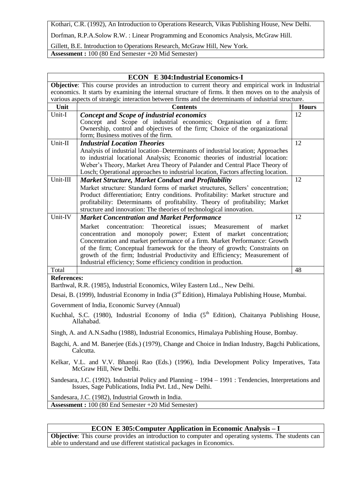Kothari, C.R. (1992), An Introduction to Operations Research, Vikas Publishing House, New Delhi.

Dorfman, R.P.A.Solow R.W. : Linear Programming and Economics Analysis, McGraw Hill.

Gillett, B.E. Introduction to Operations Research, McGraw Hill, New York. **Assessment :** 100 (80 End Semester +20 Mid Semester)

|                                                                                                                                                                  | <b>ECON E 304:Industrial Economics-I</b>                                                                                                                        |              |  |
|------------------------------------------------------------------------------------------------------------------------------------------------------------------|-----------------------------------------------------------------------------------------------------------------------------------------------------------------|--------------|--|
|                                                                                                                                                                  | <b>Objective:</b> This course provides an introduction to current theory and empirical work in Industrial                                                       |              |  |
| economics. It starts by examining the internal structure of firms. It then moves on to the analysis of                                                           |                                                                                                                                                                 |              |  |
|                                                                                                                                                                  | various aspects of strategic interaction between firms and the determinants of industrial structure.                                                            |              |  |
| Unit                                                                                                                                                             | <b>Contents</b>                                                                                                                                                 | <b>Hours</b> |  |
| Unit-I                                                                                                                                                           | <b>Concept and Scope of industrial economics</b>                                                                                                                | 12           |  |
|                                                                                                                                                                  | Concept and Scope of industrial economics; Organisation of a firm:<br>Ownership, control and objectives of the firm; Choice of the organizational               |              |  |
|                                                                                                                                                                  | form; Business motives of the firm.                                                                                                                             |              |  |
| Unit-II                                                                                                                                                          | <b>Industrial Location Theories</b>                                                                                                                             | 12           |  |
|                                                                                                                                                                  | Analysis of industrial location–Determinants of industrial location; Approaches                                                                                 |              |  |
|                                                                                                                                                                  | to industrial locational Analysis; Economic theories of industrial location:                                                                                    |              |  |
|                                                                                                                                                                  | Weber's Theory, Market Area Theory of Palander and Central Place Theory of                                                                                      |              |  |
|                                                                                                                                                                  | Losch; Operational approaches to industrial location, Factors affecting location.                                                                               |              |  |
| Unit-III                                                                                                                                                         | <b>Market Structure, Market Conduct and Profitability</b>                                                                                                       | 12           |  |
|                                                                                                                                                                  | Market structure: Standard forms of market structures, Sellers' concentration;                                                                                  |              |  |
|                                                                                                                                                                  | Product differentiation; Entry conditions. Profitability: Market structure and<br>profitability: Determinants of profitability. Theory of profitability; Market |              |  |
|                                                                                                                                                                  | structure and innovation: The theories of technological innovation.                                                                                             |              |  |
| Unit-IV                                                                                                                                                          | <b>Market Concentration and Market Performance</b>                                                                                                              | 12           |  |
|                                                                                                                                                                  | Theoretical issues;<br>concentration:<br>Measurement<br>of<br>market<br>Market                                                                                  |              |  |
|                                                                                                                                                                  | concentration and monopoly power; Extent of market concentration;                                                                                               |              |  |
|                                                                                                                                                                  | Concentration and market performance of a firm. Market Performance: Growth                                                                                      |              |  |
|                                                                                                                                                                  | of the firm; Conceptual framework for the theory of growth; Constraints on                                                                                      |              |  |
|                                                                                                                                                                  | growth of the firm; Industrial Productivity and Efficiency; Measurement of                                                                                      |              |  |
| Total                                                                                                                                                            | Industrial efficiency; Some efficiency condition in production.                                                                                                 | 48           |  |
| <b>References:</b>                                                                                                                                               |                                                                                                                                                                 |              |  |
|                                                                                                                                                                  | Barthwal, R.R. (1985), Industrial Economics, Wiley Eastern Ltd, New Delhi.                                                                                      |              |  |
|                                                                                                                                                                  | Desai, B. (1999), Industrial Economy in India (3 <sup>rd</sup> Edition), Himalaya Publishing House, Mumbai.                                                     |              |  |
|                                                                                                                                                                  | Government of India, Economic Survey (Annual)                                                                                                                   |              |  |
|                                                                                                                                                                  | Kuchhal, S.C. (1980), Industrial Economy of India (5 <sup>th</sup> Edition), Chaitanya Publishing House,<br>Allahabad.                                          |              |  |
|                                                                                                                                                                  | Singh, A. and A.N.Sadhu (1988), Industrial Economics, Himalaya Publishing House, Bombay.                                                                        |              |  |
|                                                                                                                                                                  | Bagchi, A. and M. Banerjee (Eds.) (1979), Change and Choice in Indian Industry, Bagchi Publications,<br>Calcutta.                                               |              |  |
| Kelkar, V.L. and V.V. Bhanoji Rao (Eds.) (1996), India Development Policy Imperatives, Tata<br>McGraw Hill, New Delhi.                                           |                                                                                                                                                                 |              |  |
| Sandesara, J.C. (1992). Industrial Policy and Planning – 1994 – 1991 : Tendencies, Interpretations and<br>Issues, Sage Publications, India Pvt. Ltd., New Delhi. |                                                                                                                                                                 |              |  |
|                                                                                                                                                                  | Sandesara, J.C. (1982), Industrial Growth in India.                                                                                                             |              |  |
|                                                                                                                                                                  | Assessment: 100 (80 End Semester +20 Mid Semester)                                                                                                              |              |  |
|                                                                                                                                                                  |                                                                                                                                                                 |              |  |

### **ECON E 305:Computer Application in Economic Analysis – I**

**Objective**: This course provides an introduction to computer and operating systems. The students can able to understand and use different statistical packages in Economics.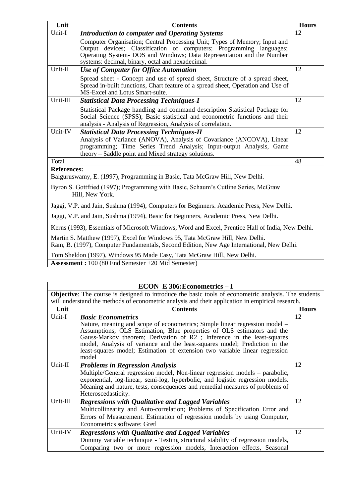| Unit                                                                                                                                                                     | <b>Contents</b>                                                                                                                                                                                                                                                                | <b>Hours</b> |
|--------------------------------------------------------------------------------------------------------------------------------------------------------------------------|--------------------------------------------------------------------------------------------------------------------------------------------------------------------------------------------------------------------------------------------------------------------------------|--------------|
| Unit-I                                                                                                                                                                   | <b>Introduction to computer and Operating Systems</b>                                                                                                                                                                                                                          | 12           |
|                                                                                                                                                                          | Computer Organisation; Central Processing Unit; Types of Memory; Input and<br>Output devices; Classification of computers; Programming languages;<br>Operating System- DOS and Windows; Data Representation and the Number<br>systems: decimal, binary, octal and hexadecimal. |              |
| Unit-II                                                                                                                                                                  | <b>Use of Computer for Office Automation</b>                                                                                                                                                                                                                                   | 12           |
|                                                                                                                                                                          | Spread sheet - Concept and use of spread sheet, Structure of a spread sheet,<br>Spread in-built functions, Chart feature of a spread sheet, Operation and Use of<br>MS-Excel and Lotus Smart-suite.                                                                            |              |
| Unit-III                                                                                                                                                                 | <b>Statistical Data Processing Techniques-I</b>                                                                                                                                                                                                                                | 12           |
|                                                                                                                                                                          | Statistical Package handling and command description Statistical Package for<br>Social Science (SPSS); Basic statistical and econometric functions and their<br>analysis - Analysis of Regression, Analysis of correlation.                                                    |              |
| Unit-IV                                                                                                                                                                  | <b>Statistical Data Processing Techniques-II</b>                                                                                                                                                                                                                               | 12           |
|                                                                                                                                                                          | Analysis of Variance (ANOVA), Analysis of Covariance (ANCOVA), Linear<br>programming; Time Series Trend Analysis; Input-output Analysis, Game                                                                                                                                  |              |
|                                                                                                                                                                          | theory – Saddle point and Mixed strategy solutions.                                                                                                                                                                                                                            |              |
| Total                                                                                                                                                                    |                                                                                                                                                                                                                                                                                | 48           |
| <b>References:</b>                                                                                                                                                       |                                                                                                                                                                                                                                                                                |              |
|                                                                                                                                                                          | Balguruswamy, E. (1997), Programming in Basic, Tata McGraw Hill, New Delhi.                                                                                                                                                                                                    |              |
| Byron S. Gottfried (1997); Programming with Basic, Schaum's Cutline Series, McGraw<br>Hill, New York.                                                                    |                                                                                                                                                                                                                                                                                |              |
|                                                                                                                                                                          | Jaggi, V.P. and Jain, Sushma (1994), Computers for Beginners. Academic Press, New Delhi.                                                                                                                                                                                       |              |
|                                                                                                                                                                          | Jaggi, V.P. and Jain, Sushma (1994), Basic for Beginners, Academic Press, New Delhi.                                                                                                                                                                                           |              |
| Kerns (1993), Essentials of Microsoft Windows, Word and Excel, Prentice Hall of India, New Delhi.                                                                        |                                                                                                                                                                                                                                                                                |              |
| Martin S. Matthew (1997), Excel for Windows 95, Tata McGraw Hill, New Delhi.<br>Ram, B. (1997), Computer Fundamentals, Second Edition, New Age International, New Delhi. |                                                                                                                                                                                                                                                                                |              |
| Tom Sheldon (1997), Windows 95 Made Easy, Tata McGraw Hill, New Delhi.                                                                                                   |                                                                                                                                                                                                                                                                                |              |

**Assessment :** 100 (80 End Semester +20 Mid Semester)

### **ECON E 306:Econometrics – I**

٦

|          | ECON E $306$ : Econometrics – I                                                                             |              |
|----------|-------------------------------------------------------------------------------------------------------------|--------------|
|          | <b>Objective:</b> The course is designed to introduce the basic tools of econometric analysis. The students |              |
|          | will understand the methods of econometric analysis and their application in empirical research.            |              |
| Unit     | <b>Contents</b>                                                                                             | <b>Hours</b> |
| Unit-I   | <b>Basic Econometrics</b>                                                                                   | 12           |
|          | Nature, meaning and scope of econometrics; Simple linear regression model –                                 |              |
|          | Assumptions; OLS Estimation; Blue properties of OLS estimators and the                                      |              |
|          | Gauss-Markov theorem; Derivation of $\overline{R2}$ ; Inference in the least-squares                        |              |
|          | model, Analysis of variance and the least-squares model; Prediction in the                                  |              |
|          | least-squares model; Estimation of extension two variable linear regression                                 |              |
|          | model                                                                                                       |              |
| Unit-II  | <b>Problems in Regression Analysis</b>                                                                      | 12           |
|          | Multiple/General regression model, Non-linear regression models – parabolic,                                |              |
|          | exponential, log-linear, semi-log, hyperbolic, and logistic regression models.                              |              |
|          | Meaning and nature, tests, consequences and remedial measures of problems of                                |              |
|          | Heteroscedasticity.                                                                                         |              |
| Unit-III | <b>Regressions with Qualitative and Lagged Variables</b>                                                    | 12           |
|          | Multicollinearity and Auto-correlation; Problems of Specification Error and                                 |              |
|          | Errors of Measurement. Estimation of regression models by using Computer,                                   |              |
|          | Econometrics software: Gretl                                                                                |              |
| Unit-IV  | <b>Regressions with Qualitative and Lagged Variables</b>                                                    | 12           |
|          | Dummy variable technique - Testing structural stability of regression models,                               |              |
|          | Comparing two or more regression models, Interaction effects, Seasonal                                      |              |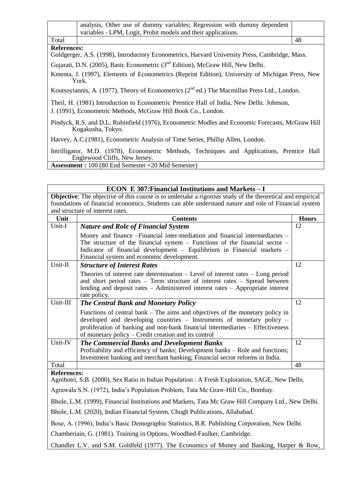|       | analysis, Other use of dummy variables; Regression with dummy dependent |    |
|-------|-------------------------------------------------------------------------|----|
|       | variables - LPM, Logit, Probit models and their applications.           |    |
| Total |                                                                         | 48 |

#### **References:**

Goldgerger, A.S. (1998), Introductory Econometrics, Harvard University Press, Cambridge, Mass.

Gujarati, D.N. (2005), Basic Econometric (3<sup>nd</sup> Edition), McGraw Hill, New Delhi.

Kmenta, J. (1997), Elements of Econometrics (Reprint Edition), University of Michigan Press, New York.

Koutsoviannis, A. (1977), Theory of Econometrics ( $2<sup>nd</sup>$  ed.) The Macmillan Press Ltd., London.

Theil, H. (1981) Introduction to Econometric Prentice Hall of India, New Delhi. Johnson,

J. (1991), Econometric Methods, McGraw Hill Book Co., London.

Pindyck, R.S. and D.L. Rubinfield (1976), Econometric Modles and Economic Forecasts, McGraw Hill Kogakusha, Tokyo.

Harvey, A.C.(1981), Econometric Analysis of Time Series, Phillip Allen, London.

Intrilligator, M.D. (1978), Econometric Methods, Techniques and Applications, Prentice Hall Englewood Cliffs, New Jersey.

**Assessment :** 100 (80 End Semester +20 Mid Semester)

### **ECON E 307:Financial Institutions and Markets – I**

**Objective**: The objective of this course is to undertake a rigorous study of the theoretical and empirical foundations of financial economics. Students can able understand nature and role of Financial system and structure of interest rates.

| Unit     | <b>Contents</b>                                                                                                                                                                                                                                                                                  | <b>Hours</b> |
|----------|--------------------------------------------------------------------------------------------------------------------------------------------------------------------------------------------------------------------------------------------------------------------------------------------------|--------------|
| Unit-I   | <b>Nature and Role of Financial System</b>                                                                                                                                                                                                                                                       | 12           |
|          | Money and finance --Financial inter-mediation and financial intermediaries -<br>The structure of the financial system $-$ Functions of the financial sector $-$<br>Indicator of financial development – Equilibrium in Financial markets –<br>Financial system and economic development.         |              |
| Unit-II  | <b>Structure of Interest Rates</b>                                                                                                                                                                                                                                                               | 12           |
|          | Theories of interest rate determination $-$ Level of interest rates $-$ Long period<br>and short period rates – Term structure of interest rates – Spread between<br>lending and deposit rates – Administered interest rates – Appropriate interest<br>rate policy.                              |              |
| Unit-III | <b>The Central Bank and Monetary Policy</b>                                                                                                                                                                                                                                                      | 12           |
|          | Functions of central bank – The aims and objectives of the monetary policy in<br>developed and developing countries – Instruments of monetary policy –<br>proliferation of banking and non-bank financial intermediaries – Effectiveness<br>of monetary policy – Credit creation and its control |              |
| Unit-IV  | <b>The Commercial Banks and Development Banks</b>                                                                                                                                                                                                                                                | 12           |
|          | Profitability and efficiency of banks; Development banks – Role and functions;<br>Investment banking and merchant banking; Financial sector reforms in India.                                                                                                                                    |              |
| Total    |                                                                                                                                                                                                                                                                                                  | 48           |

#### **References:**

Agnihotri, S.B. (2000), Sex Ratio in Indian Population : A Fresh Exploration, SAGE, New Delhi.

Agrawala S.N. (1972), India's Population Problem, Tata Mc Graw-Hill Co., Bombay.

Bhole, L.M. (1999), Financial Institutions and Markets, Tata Mc Graw Hill Company Ltd., New Delhi.

Bhole, L.M. (2020), Indian Financial System, Chugh Publications, Allahabad.

Bose, A. (1996), India's Basic Demographic Statistics, B.R. Publishing Corporation, New Delhi.

Chamberiain, G. (1981). Training in Options, Woodhed-Faulker, Cambridge.

Chandler L.V. and S.M. Goldfeld (1977). The Economics of Money and Banking, Harper & Row,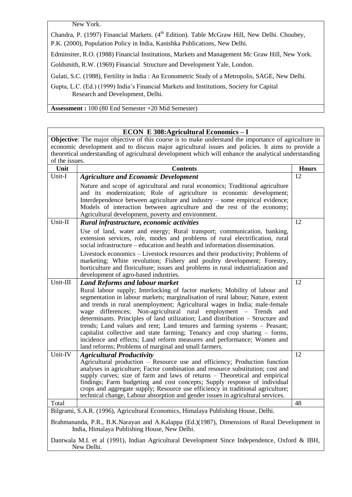New York.

New Delhi.

Chandra, P. (1997) Financial Markets. (4<sup>th</sup> Edition). Table McGraw Hill, New Delhi. Choubey, P.K. (2000), Population Policy in India, Kanishka Publications, New Delhi.

Edminsiter, R.O. (1988) Financial Institutions, Markets and Management Mc Graw Hill, New York.

Goldsmith, R.W. (1969) Financial Structure and Development Yale, London.

Gulati, S.C. (1988), Fertility in India : An Econometric Study of a Metropolis, SAGE, New Delhi.

Gupta, L.C. (Ed.) (1999) India's Financial Markets and Institutions, Society for Capital Research and Development, Delhi.

**Assessment :** 100 (80 End Semester +20 Mid Semester)

| <b>ECON E 308:Agricultural Economics – I</b>                                                                                                 |                                                                                                                                                                    |              |  |
|----------------------------------------------------------------------------------------------------------------------------------------------|--------------------------------------------------------------------------------------------------------------------------------------------------------------------|--------------|--|
| Objective: The major objective of this course is to make understand the importance of agriculture in                                         |                                                                                                                                                                    |              |  |
|                                                                                                                                              | economic development and to discuss major agricultural issues and policies. It aims to provide a                                                                   |              |  |
|                                                                                                                                              | theoretical understanding of agricultural development which will enhance the analytical understanding                                                              |              |  |
| of the issues.                                                                                                                               |                                                                                                                                                                    |              |  |
| Unit                                                                                                                                         | <b>Contents</b>                                                                                                                                                    | <b>Hours</b> |  |
| Unit-I                                                                                                                                       | <b>Agriculture and Economic Development</b>                                                                                                                        | 12           |  |
|                                                                                                                                              | Nature and scope of agricultural and rural economics; Traditional agriculture                                                                                      |              |  |
|                                                                                                                                              | and its modernization; Role of agriculture in economic development;                                                                                                |              |  |
|                                                                                                                                              | Interdependence between agriculture and industry – some empirical evidence;                                                                                        |              |  |
|                                                                                                                                              | Models of interaction between agriculture and the rest of the economy;                                                                                             |              |  |
|                                                                                                                                              | Agricultural development, poverty and environment.                                                                                                                 |              |  |
| Unit-II                                                                                                                                      | Rural infrastructure, economic activities                                                                                                                          | 12           |  |
|                                                                                                                                              | Use of land, water and energy; Rural transport; communication, banking,                                                                                            |              |  |
|                                                                                                                                              | extension services, role, modes and problems of rural electrification, rural<br>social infrastructure – education and health and information dissemination.        |              |  |
|                                                                                                                                              | Livestock economics – Livestock resources and their productivity; Problems of                                                                                      |              |  |
|                                                                                                                                              | marketing; White revolution; Fishery and poultry development; Forestry,                                                                                            |              |  |
|                                                                                                                                              | horticulture and floriculture; issues and problems in rural industrialization and                                                                                  |              |  |
| Unit-III                                                                                                                                     | development of agro-based industries.                                                                                                                              | 12           |  |
|                                                                                                                                              | <b>Land Reforms and labour market</b><br>Rural labour supply; Interlocking of factor markets; Mobility of labour and                                               |              |  |
|                                                                                                                                              | segmentation in labour markets; marginalisation of rural labour; Nature, extent                                                                                    |              |  |
|                                                                                                                                              | and trends in rural unemployment; Agricultural wages in India; male-female                                                                                         |              |  |
|                                                                                                                                              | wage differences; Non-agricultural rural employment – Trends<br>and                                                                                                |              |  |
|                                                                                                                                              | determinants. Principles of land utilization; Land distribution - Structure and                                                                                    |              |  |
|                                                                                                                                              | trends; Land values and rent; Land tenures and farming systems - Peasant;                                                                                          |              |  |
|                                                                                                                                              | capitalist collective and state farming; Tenancy and crop sharing – forms,                                                                                         |              |  |
|                                                                                                                                              | incidence and effects; Land reform measures and performance; Women and                                                                                             |              |  |
|                                                                                                                                              | land reforms; Problems of marginal and small farmers.                                                                                                              |              |  |
| Unit-IV                                                                                                                                      | <b>Agricultural Productivity</b>                                                                                                                                   | 12           |  |
|                                                                                                                                              | Agricultural production - Resource use and efficiency; Production function                                                                                         |              |  |
|                                                                                                                                              | analyses in agriculture; Factor combination and resource substitution; cost and                                                                                    |              |  |
|                                                                                                                                              | supply curves; size of farm and laws of returns – Theoretical and empirical                                                                                        |              |  |
|                                                                                                                                              | findings; Farm budgeting and cost concepts; Supply response of individual                                                                                          |              |  |
|                                                                                                                                              | crops and aggregate supply; Resource use efficiency in traditional agriculture;<br>technical change, Labour absorption and gender issues in agricultural services. |              |  |
| Total                                                                                                                                        |                                                                                                                                                                    | 48           |  |
|                                                                                                                                              | Bilgrami, S.A.R. (1996), Agricultural Economics, Himalaya Publishing House, Delhi.                                                                                 |              |  |
|                                                                                                                                              |                                                                                                                                                                    |              |  |
| Brahmananda, P.R., B.K.Narayan and A.Kalappa (Ed.)(1987), Dimensions of Rural Development in<br>India, Himalaya Publishing House, New Delhi. |                                                                                                                                                                    |              |  |
| Dantwala M.I. et al (1991), Indian Agricultural Development Since Independence, Oxford & IBH,                                                |                                                                                                                                                                    |              |  |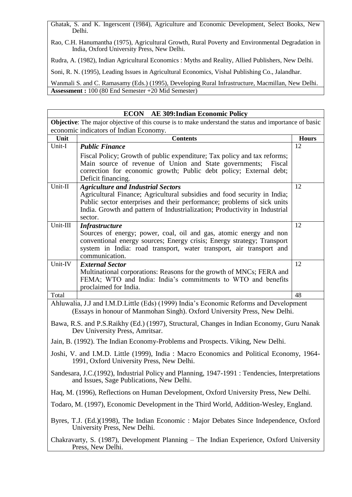Ghatak, S. and K. Ingerscent (1984), Agriculture and Economic Development, Select Books, New Delhi.

Rao, C.H. Hanumantha (1975), Agricultural Growth, Rural Poverty and Environmental Degradation in India, Oxford University Press, New Delhi.

Rudra, A. (1982), Indian Agricultural Economics : Myths and Reality, Allied Publishers, New Delhi.

Soni, R. N. (1995), Leading Issues in Agricultural Economics, Vishal Publishing Co., Jalandhar.

Wanmali S. and C. Ramasamy (Eds.) (1995), Developing Rural Infrastructure, Macmillan, New Delhi. **Assessment :** 100 (80 End Semester +20 Mid Semester)

| <b>ECON</b> AE 309: Indian Economic Policy                                                                                           |                                                                                                                                                                                                                                                                                           |              |
|--------------------------------------------------------------------------------------------------------------------------------------|-------------------------------------------------------------------------------------------------------------------------------------------------------------------------------------------------------------------------------------------------------------------------------------------|--------------|
| Objective: The major objective of this course is to make understand the status and importance of basic                               |                                                                                                                                                                                                                                                                                           |              |
|                                                                                                                                      | economic indicators of Indian Economy.                                                                                                                                                                                                                                                    |              |
| Unit                                                                                                                                 | <b>Contents</b>                                                                                                                                                                                                                                                                           | <b>Hours</b> |
| Unit-I                                                                                                                               | <b>Public Finance</b>                                                                                                                                                                                                                                                                     | 12           |
|                                                                                                                                      | Fiscal Policy; Growth of public expenditure; Tax policy and tax reforms;<br>Main source of revenue of Union and State governments;<br>Fiscal<br>correction for economic growth; Public debt policy; External debt;<br>Deficit financing.                                                  |              |
| Unit-II                                                                                                                              | <b>Agriculture and Industrial Sectors</b><br>Agricultural Finance; Agricultural subsidies and food security in India;<br>Public sector enterprises and their performance; problems of sick units<br>India. Growth and pattern of Industrialization; Productivity in Industrial<br>sector. | 12           |
| Unit-III                                                                                                                             | <b>Infrastructure</b>                                                                                                                                                                                                                                                                     | 12           |
|                                                                                                                                      | Sources of energy; power, coal, oil and gas, atomic energy and non<br>conventional energy sources; Energy crisis; Energy strategy; Transport<br>system in India: road transport, water transport, air transport and<br>communication.                                                     |              |
| Unit-IV                                                                                                                              | <b>External Sector</b>                                                                                                                                                                                                                                                                    | 12           |
|                                                                                                                                      | Multinational corporations: Reasons for the growth of MNCs; FERA and<br>FEMA; WTO and India: India's commitments to WTO and benefits<br>proclaimed for India.                                                                                                                             |              |
| Total                                                                                                                                |                                                                                                                                                                                                                                                                                           | 48           |
|                                                                                                                                      | Ahluwalia, J.J and I.M.D.Little (Eds) (1999) India's Economic Reforms and Development<br>(Essays in honour of Manmohan Singh). Oxford University Press, New Delhi.                                                                                                                        |              |
|                                                                                                                                      | Bawa, R.S. and P.S.Raikhy (Ed.) (1997), Structural, Changes in Indian Economy, Guru Nanak<br>Dev University Press, Amritsar.                                                                                                                                                              |              |
|                                                                                                                                      | Jain, B. (1992). The Indian Economy-Problems and Prospects. Viking, New Delhi.                                                                                                                                                                                                            |              |
| Joshi, V. and I.M.D. Little (1999), India: Macro Economics and Political Economy, 1964-<br>1991, Oxford University Press, New Delhi. |                                                                                                                                                                                                                                                                                           |              |
|                                                                                                                                      | Sandesara, J.C.(1992), Industrial Policy and Planning, 1947-1991 : Tendencies, Interpretations<br>and Issues, Sage Publications, New Delhi.                                                                                                                                               |              |
| Haq, M. (1996), Reflections on Human Development, Oxford University Press, New Delhi.                                                |                                                                                                                                                                                                                                                                                           |              |
| Todaro, M. (1997), Economic Development in the Third World, Addition-Wesley, England.                                                |                                                                                                                                                                                                                                                                                           |              |
| Byres, T.J. (Ed.)(1998), The Indian Economic : Major Debates Since Independence, Oxford<br>University Press, New Delhi.              |                                                                                                                                                                                                                                                                                           |              |
| Chakravarty, S. (1987), Development Planning – The Indian Experience, Oxford University<br>Press, New Delhi.                         |                                                                                                                                                                                                                                                                                           |              |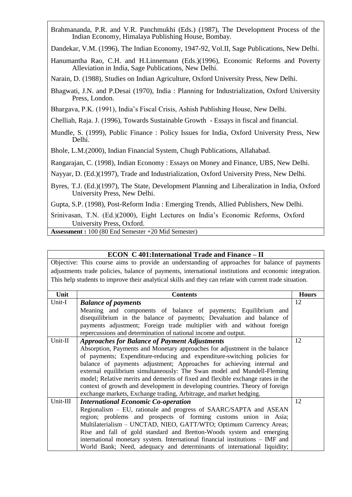Brahmananda, P.R. and V.R. Panchmukhi (Eds.) (1987), The Development Process of the Indian Economy, Himalaya Publishing House, Bombay.

Dandekar, V.M. (1996), The Indian Economy, 1947-92, Vol.II, Sage Publications, New Delhi.

Hanumantha Rao, C.H. and H.Linnemann (Eds.)(1996), Economic Reforms and Poverty Alleviation in India, Sage Publications, New Delhi.

Narain, D. (1988), Studies on Indian Agriculture, Oxford University Press, New Delhi.

- Bhagwati, J.N. and P.Desai (1970), India : Planning for Industrialization, Oxford University Press, London.
- Bhargava, P.K. (1991), India's Fiscal Crisis, Ashish Publishing House, New Delhi.

Chelliah, Raja. J. (1996), Towards Sustainable Growth - Essays in fiscal and financial.

Mundle, S. (1999), Public Finance : Policy Issues for India, Oxford University Press, New Delhi.

Bhole, L.M.(2000), Indian Financial System, Chugh Publications, Allahabad.

Rangarajan, C. (1998), Indian Economy : Essays on Money and Finance, UBS, New Delhi.

Nayyar, D. (Ed.)(1997), Trade and Industrialization, Oxford University Press, New Delhi.

Byres, T.J. (Ed.)(1997), The State, Development Planning and Liberalization in India, Oxford University Press, New Delhi.

Gupta, S.P. (1998), Post-Reform India : Emerging Trends, Allied Publishers, New Delhi.

Srinivasan, T.N. (Ed.)(2000), Eight Lectures on India's Economic Reforms, Oxford University Press, Oxford.

**Assessment :** 100 (80 End Semester +20 Mid Semester)

#### **ECON C 401:International Trade and Finance – II**

Objective: This course aims to provide an understanding of approaches for balance of payments adjustments trade policies, balance of payments, international institutions and economic integration. This help students to improve their analytical skills and they can relate with current trade situation.

| Unit     | <b>Contents</b>                                                                 | <b>Hours</b> |
|----------|---------------------------------------------------------------------------------|--------------|
| Unit-I   | <b>Balance of payments</b>                                                      | 12           |
|          | Meaning and components of balance of payments; Equilibrium and                  |              |
|          | disequilibrium in the balance of payments; Devaluation and balance of           |              |
|          | payments adjustment; Foreign trade multiplier with and without foreign          |              |
|          | repercussions and determination of national income and output.                  |              |
| Unit-II  | <b>Approaches for Balance of Payment Adjustments</b>                            | 12           |
|          | Absorption, Payments and Monetary approaches for adjustment in the balance      |              |
|          | of payments; Expenditure-reducing and expenditure-switching policies for        |              |
|          | balance of payments adjustment; Approaches for achieving internal and           |              |
|          | external equilibrium simultaneously: The Swan model and Mundell-Fleming         |              |
|          | model; Relative merits and demerits of fixed and flexible exchange rates in the |              |
|          | context of growth and development in developing countries. Theory of foreign    |              |
|          | exchange markets, Exchange trading, Arbitrage, and market hedging.              |              |
| Unit-III | <b>International Economic Co-operation</b>                                      | 12           |
|          | Regionalism - EU, rationale and progress of SAARC/SAPTA and ASEAN               |              |
|          | region; problems and prospects of forming customs union in Asia;                |              |
|          | Multilaterialism – UNCTAD, NIEO, GATT/WTO; Optimum Currency Areas;              |              |
|          | Rise and fall of gold standard and Bretton-Woods system and emerging            |              |
|          | international monetary system. International financial institutions - IMF and   |              |
|          | World Bank; Need, adequacy and determinants of international liquidity;         |              |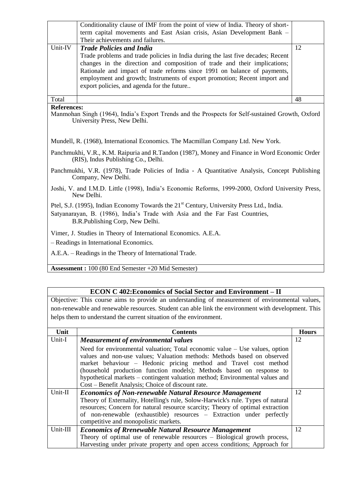|                                                                                                                                      | Conditionality clause of IMF from the point of view of India. Theory of short-<br>term capital movements and East Asian crisis, Asian Development Bank -<br>Their achievements and failures. |    |  |
|--------------------------------------------------------------------------------------------------------------------------------------|----------------------------------------------------------------------------------------------------------------------------------------------------------------------------------------------|----|--|
| Unit-IV                                                                                                                              | <b>Trade Policies and India</b>                                                                                                                                                              | 12 |  |
|                                                                                                                                      | Trade problems and trade policies in India during the last five decades; Recent                                                                                                              |    |  |
|                                                                                                                                      | changes in the direction and composition of trade and their implications;                                                                                                                    |    |  |
|                                                                                                                                      | Rationale and impact of trade reforms since 1991 on balance of payments,                                                                                                                     |    |  |
|                                                                                                                                      | employment and growth; Instruments of export promotion; Recent import and                                                                                                                    |    |  |
|                                                                                                                                      | export policies, and agenda for the future                                                                                                                                                   |    |  |
| Total                                                                                                                                |                                                                                                                                                                                              | 48 |  |
| <b>References:</b>                                                                                                                   |                                                                                                                                                                                              |    |  |
|                                                                                                                                      | Manmohan Singh (1964), India's Export Trends and the Prospects for Self-sustained Growth, Oxford                                                                                             |    |  |
|                                                                                                                                      | University Press, New Delhi.                                                                                                                                                                 |    |  |
|                                                                                                                                      |                                                                                                                                                                                              |    |  |
|                                                                                                                                      | Mundell, R. (1968), International Economics. The Macmillan Company Ltd. New York.                                                                                                            |    |  |
| Panchmukhi, V.R., K.M. Raipuria and R.Tandon (1987), Money and Finance in Word Economic Order<br>(RIS), Indus Publishing Co., Delhi. |                                                                                                                                                                                              |    |  |
| Panchmukhi, V.R. (1978), Trade Policies of India - A Quantitative Analysis, Concept Publishing<br>Company, New Delhi.                |                                                                                                                                                                                              |    |  |
| Joshi, V. and I.M.D. Little (1998), India's Economic Reforms, 1999-2000, Oxford University Press,<br>New Delhi.                      |                                                                                                                                                                                              |    |  |
|                                                                                                                                      | Ptel, S.J. (1995), Indian Economy Towards the 21 <sup>st</sup> Century, University Press Ltd., India.                                                                                        |    |  |
|                                                                                                                                      | Satyanarayan, B. (1986), India's Trade with Asia and the Far Fast Countries,                                                                                                                 |    |  |
| B.R.Publishing Corp, New Delhi.                                                                                                      |                                                                                                                                                                                              |    |  |
| Vimer, J. Studies in Theory of International Economics. A.E.A.                                                                       |                                                                                                                                                                                              |    |  |
| - Readings in International Economics.                                                                                               |                                                                                                                                                                                              |    |  |
| A.E.A. – Readings in the Theory of International Trade.                                                                              |                                                                                                                                                                                              |    |  |
|                                                                                                                                      |                                                                                                                                                                                              |    |  |

**Assessment :** 100 (80 End Semester +20 Mid Semester)

#### **ECON C 402:Economics of Social Sector and Environment – II**

Objective: This course aims to provide an understanding of measurement of environmental values, non-renewable and renewable resources. Student can able link the environment with development. This helps them to understand the current situation of the environment.

| Unit     | <b>Contents</b>                                                                                                                                                                                                                                                                                                                                                                                                                           | <b>Hours</b> |
|----------|-------------------------------------------------------------------------------------------------------------------------------------------------------------------------------------------------------------------------------------------------------------------------------------------------------------------------------------------------------------------------------------------------------------------------------------------|--------------|
| Unit-I   | <b>Measurement of environmental values</b>                                                                                                                                                                                                                                                                                                                                                                                                | 12           |
|          | Need for environmental valuation; Total economic value $-$ Use values, option<br>values and non-use values; Valuation methods: Methods based on observed<br>market behaviour – Hedonic pricing method and Travel cost method<br>(household production function models); Methods based on response to<br>hypothetical markets – contingent valuation method; Environmental values and<br>Cost – Benefit Analysis; Choice of discount rate. |              |
| Unit-II  | <b>Economics of Non-renewable Natural Resource Management</b>                                                                                                                                                                                                                                                                                                                                                                             | 12           |
|          | Theory of Externality, Hotelling's rule, Solow-Harwick's rule. Types of natural<br>resources; Concern for natural resource scarcity; Theory of optimal extraction<br>of non-renewable (exhaustible) resources – Extraction under perfectly<br>competitive and monopolistic markets.                                                                                                                                                       |              |
| Unit-III | <b>Economics of Rrenewable Natural Resource Management</b>                                                                                                                                                                                                                                                                                                                                                                                | 12           |
|          | Theory of optimal use of renewable resources – Biological growth process,                                                                                                                                                                                                                                                                                                                                                                 |              |
|          | Harvesting under private property and open access conditions; Approach for                                                                                                                                                                                                                                                                                                                                                                |              |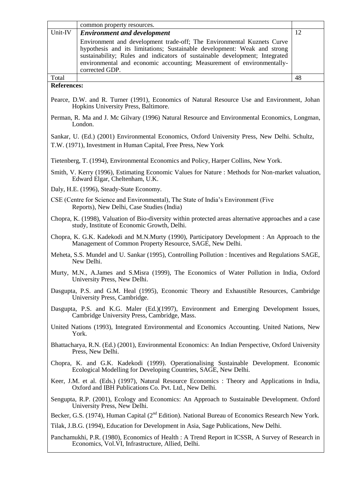|                                                                                                                                                          | common property resources.                                                                                                                                      |    |  |
|----------------------------------------------------------------------------------------------------------------------------------------------------------|-----------------------------------------------------------------------------------------------------------------------------------------------------------------|----|--|
| Unit-IV                                                                                                                                                  | <b>Environment and development</b>                                                                                                                              | 12 |  |
|                                                                                                                                                          | Environment and development trade-off; The Environmental Kuznets Curve                                                                                          |    |  |
|                                                                                                                                                          | hypothesis and its limitations; Sustainable development: Weak and strong<br>sustainability; Rules and indicators of sustainable development; Integrated         |    |  |
|                                                                                                                                                          | environmental and economic accounting; Measurement of environmentally-                                                                                          |    |  |
|                                                                                                                                                          | corrected GDP.                                                                                                                                                  |    |  |
| Total                                                                                                                                                    |                                                                                                                                                                 | 48 |  |
| <b>References:</b>                                                                                                                                       |                                                                                                                                                                 |    |  |
|                                                                                                                                                          | Pearce, D.W. and R. Turner (1991), Economics of Natural Resource Use and Environment, Johan<br>Hopkins University Press, Baltimore.                             |    |  |
|                                                                                                                                                          | Perman, R. Ma and J. Mc Gilvary (1996) Natural Resource and Environmental Economics, Longman,<br>London.                                                        |    |  |
|                                                                                                                                                          | Sankar, U. (Ed.) (2001) Environmental Economics, Oxford University Press, New Delhi. Schultz,<br>T.W. (1971), Investment in Human Capital, Free Press, New York |    |  |
|                                                                                                                                                          | Tietenberg, T. (1994), Environmental Economics and Policy, Harper Collins, New York.                                                                            |    |  |
|                                                                                                                                                          | Smith, V. Kerry (1996), Estimating Economic Values for Nature : Methods for Non-market valuation,<br>Edward Elgar, Cheltenham, U.K.                             |    |  |
|                                                                                                                                                          | Daly, H.E. (1996), Steady-State Economy.                                                                                                                        |    |  |
|                                                                                                                                                          | CSE (Centre for Science and Environmental), The State of India's Environment (Five<br>Reports), New Delhi, Case Studies (India)                                 |    |  |
|                                                                                                                                                          | Chopra, K. (1998), Valuation of Bio-diversity within protected areas alternative approaches and a case<br>study, Institute of Economic Growth, Delhi.           |    |  |
| Chopra, K. G.K. Kadekodi and M.N.Murty (1990), Participatory Development: An Approach to the<br>Management of Common Property Resource, SAGE, New Delhi. |                                                                                                                                                                 |    |  |
| Meheta, S.S. Mundel and U. Sankar (1995), Controlling Pollution : Incentives and Regulations SAGE,<br>New Delhi.                                         |                                                                                                                                                                 |    |  |
| Murty, M.N., A.James and S.Misra (1999), The Economics of Water Pollution in India, Oxford<br>University Press, New Delhi.                               |                                                                                                                                                                 |    |  |
|                                                                                                                                                          | Dasgupta, P.S. and G.M. Heal (1995), Economic Theory and Exhaustible Resources, Cambridge<br>University Press, Cambridge.                                       |    |  |
|                                                                                                                                                          | Dasgupta, P.S. and K.G. Maler (Ed.)(1997), Environment and Emerging Development Issues,<br>Cambridge University Press, Cambridge, Mass.                         |    |  |
|                                                                                                                                                          | United Nations (1993), Integrated Environmental and Economics Accounting. United Nations, New<br>York.                                                          |    |  |
| Bhattacharya, R.N. (Ed.) (2001), Environmental Economics: An Indian Perspective, Oxford University<br>Press, New Delhi.                                  |                                                                                                                                                                 |    |  |
|                                                                                                                                                          | Chopra, K. and G.K. Kadekodi (1999). Operationalising Sustainable Development. Economic<br>Ecological Modelling for Developing Countries, SAGE, New Delhi.      |    |  |
|                                                                                                                                                          | Keer, J.M. et al. (Eds.) (1997), Natural Resource Economics: Theory and Applications in India,<br>Oxford and IBH Publications Co. Pvt. Ltd., New Delhi.         |    |  |
|                                                                                                                                                          | Sengupta, R.P. (2001), Ecology and Economics: An Approach to Sustainable Development. Oxford<br>University Press, New Delhi.                                    |    |  |
| Becker, G.S. (1974), Human Capital (2 <sup>nd</sup> Edition). National Bureau of Economics Research New York.                                            |                                                                                                                                                                 |    |  |
| Tilak, J.B.G. (1994), Education for Development in Asia, Sage Publications, New Delhi.                                                                   |                                                                                                                                                                 |    |  |
|                                                                                                                                                          | Panchamukhi, P.R. (1980), Economics of Health : A Trend Report in ICSSR, A Survey of Research in<br>Economics, Vol.VI, Infrastructure, Allied, Delhi.           |    |  |
|                                                                                                                                                          |                                                                                                                                                                 |    |  |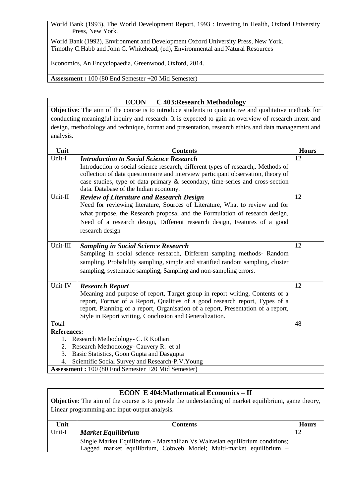World Bank (1993), The World Development Report, 1993 : Investing in Health, Oxford University Press, New York.

World Bank (1992), Environment and Development Oxford University Press, New York. Timothy C.Habb and John C. Whitehead, (ed), Environmental and Natural Resources

Economics, An Encyclopaedia, Greenwood, Oxford, 2014.

**Assessment :** 100 (80 End Semester +20 Mid Semester)

#### **ECON C 403:Research Methodology**

**Objective**: The aim of the course is to introduce students to quantitative and qualitative methods for conducting meaningful inquiry and research. It is expected to gain an overview of research intent and design, methodology and technique, format and presentation, research ethics and data management and analysis.

| Unit               | <b>Contents</b>                                                                                      | <b>Hours</b> |
|--------------------|------------------------------------------------------------------------------------------------------|--------------|
| Unit-I             | <b>Introduction to Social Science Research</b>                                                       | 12           |
|                    | Introduction to social science research, different types of research,. Methods of                    |              |
|                    | collection of data questionnaire and interview participant observation, theory of                    |              |
|                    | case studies, type of data primary & secondary, time-series and cross-section                        |              |
|                    | data. Database of the Indian economy.                                                                |              |
| Unit-II            | <b>Review of Literature and Research Design</b>                                                      | 12           |
|                    | Need for reviewing literature, Sources of Literature, What to review and for                         |              |
|                    | what purpose, the Research proposal and the Formulation of research design,                          |              |
|                    | Need of a research design, Different research design, Features of a good                             |              |
|                    | research design                                                                                      |              |
|                    |                                                                                                      |              |
| Unit-III           | <b>Sampling in Social Science Research</b>                                                           | 12           |
|                    | Sampling in social science research, Different sampling methods- Random                              |              |
|                    | sampling, Probability sampling, simple and stratified random sampling, cluster                       |              |
|                    | sampling, systematic sampling, Sampling and non-sampling errors.                                     |              |
|                    |                                                                                                      |              |
| Unit-IV            | <b>Research Report</b>                                                                               | 12           |
|                    | Meaning and purpose of report, Target group in report writing, Contents of a                         |              |
|                    | report, Format of a Report, Qualities of a good research report, Types of a                          |              |
|                    | report. Planning of a report, Organisation of a report, Presentation of a report,                    |              |
|                    | Style in Report writing, Conclusion and Generalization.                                              |              |
| Total              |                                                                                                      | 48           |
| <b>References:</b> |                                                                                                      |              |
| 1.                 | Research Methodology- C. R Kothari                                                                   |              |
| 2.                 | Research Methodology- Cauvery R. et al                                                               |              |
| 3.                 | Basic Statistics, Goon Gupta and Dasgupta                                                            |              |
| 4.                 | Scientific Social Survey and Research-P.V. Young<br>$100(00 \text{ F} \cdot 10)$ $\ldots$ $10(0.10)$ |              |

**Assessment :** 100 (80 End Semester +20 Mid Semester)

#### **ECON E 404:Mathematical Economics – II**

**Objective**: The aim of the course is to provide the understanding of market equilibrium, game theory, Linear programming and input-output analysis.

| Unit   | <b>Contents</b>                                                              | <b>Hours</b> |
|--------|------------------------------------------------------------------------------|--------------|
| Unit-I | <b>Market Equilibrium</b>                                                    |              |
|        | Single Market Equilibrium - Marshallian Vs Walrasian equilibrium conditions; |              |
|        | Lagged market equilibrium, Cobweb Model; Multi-market equilibrium –          |              |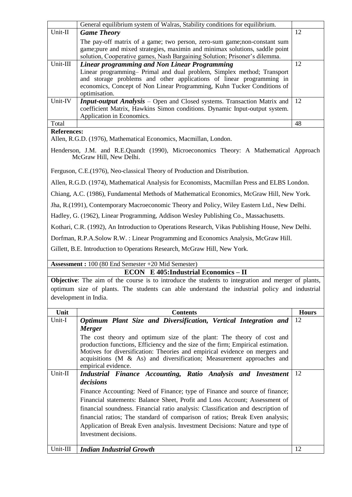|          | General equilibrium system of Walras, Stability conditions for equilibrium.                                                                                                                                                                                                                 |     |
|----------|---------------------------------------------------------------------------------------------------------------------------------------------------------------------------------------------------------------------------------------------------------------------------------------------|-----|
| Unit-II  | <b>Game Theory</b>                                                                                                                                                                                                                                                                          | 12  |
|          | The pay-off matrix of a game; two person, zero-sum game; non-constant sum<br>game; pure and mixed strategies, maximin and minimax solutions, saddle point<br>solution, Cooperative games, Nash Bargaining Solution; Prisoner's dilemma.                                                     |     |
| Unit-III | Linear programming and Non Linear Programming<br>Linear programming- Primal and dual problem, Simplex method; Transport<br>and storage problems and other applications of linear programming in<br>economics, Concept of Non Linear Programming, Kuhn Tucker Conditions of<br>optimisation. | 12  |
| Unit-IV  | <b>Input-output Analysis</b> – Open and Closed systems. Transaction Matrix and<br>coefficient Matrix, Hawkins Simon conditions. Dynamic Input-output system.<br>Application in Economics.                                                                                                   | -12 |
| Total    |                                                                                                                                                                                                                                                                                             | 48  |

#### **References:**

Allen, R.G.D. (1976), Mathematical Economics, Macmillan, London.

Henderson, J.M. and R.E.Quandt (1990), Microeconomics Theory: A Mathematical Approach McGraw Hill, New Delhi.

Ferguson, C.E.(1976), Neo-classical Theory of Production and Distribution.

Allen, R.G.D. (1974), Mathematical Analysis for Economists, Macmillan Press and ELBS London.

Chiang, A.C. (1986), Fundamental Methods of Mathematical Economics, McGraw Hill, New York.

Jha, R.(1991), Contemporary Macroeconomic Theory and Policy, Wiley Eastern Ltd., New Delhi.

Hadley, G. (1962), Linear Programming, Addison Wesley Publishing Co., Massachusetts.

Kothari, C.R. (1992), An Introduction to Operations Research, Vikas Publishing House, New Delhi.

Dorfman, R.P.A.Solow R.W. : Linear Programming and Economics Analysis, McGraw Hill.

Gillett, B.E. Introduction to Operations Research, McGraw Hill, New York.

### **Assessment :** 100 (80 End Semester +20 Mid Semester)

#### **ECON E 405:Industrial Economics – II**

**Objective**: The aim of the course is to introduce the students to integration and merger of plants, optimum size of plants. The students can able understand the industrial policy and industrial development in India.

| Unit       | <b>Contents</b>                                                                                                                                                                                                                                                                                                                             | <b>Hours</b> |
|------------|---------------------------------------------------------------------------------------------------------------------------------------------------------------------------------------------------------------------------------------------------------------------------------------------------------------------------------------------|--------------|
| Unit-I     | Optimum Plant Size and Diversification, Vertical Integration and                                                                                                                                                                                                                                                                            | 12           |
|            | <b>Merger</b>                                                                                                                                                                                                                                                                                                                               |              |
|            | The cost theory and optimum size of the plant: The theory of cost and<br>production functions, Efficiency and the size of the firm; Empirical estimation.<br>Motives for diversification: Theories and empirical evidence on mergers and<br>acquisitions $(M \& As)$ and diversification; Measurement approaches and<br>empirical evidence. |              |
| Unit-II    | Industrial Finance Accounting, Ratio Analysis and Investment                                                                                                                                                                                                                                                                                | 12           |
|            | decisions                                                                                                                                                                                                                                                                                                                                   |              |
|            | Finance Accounting: Need of Finance; type of Finance and source of finance;                                                                                                                                                                                                                                                                 |              |
|            | Financial statements: Balance Sheet, Profit and Loss Account; Assessment of                                                                                                                                                                                                                                                                 |              |
|            | financial soundness. Financial ratio analysis: Classification and description of                                                                                                                                                                                                                                                            |              |
|            | financial ratios; The standard of comparison of ratios; Break Even analysis;                                                                                                                                                                                                                                                                |              |
|            | Application of Break Even analysis. Investment Decisions: Nature and type of                                                                                                                                                                                                                                                                |              |
|            | Investment decisions.                                                                                                                                                                                                                                                                                                                       |              |
|            |                                                                                                                                                                                                                                                                                                                                             |              |
| $Unit-III$ | <b>Indian Industrial Growth</b>                                                                                                                                                                                                                                                                                                             | 12           |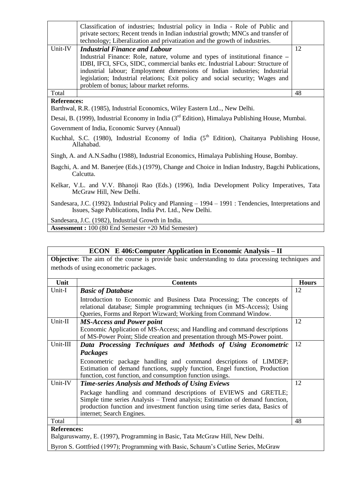|                                                                                                                                                                  | Classification of industries; Industrial policy in India - Role of Public and<br>private sectors; Recent trends in Indian industrial growth; MNCs and transfer of<br>technology; Liberalization and privatization and the growth of industries. |    |
|------------------------------------------------------------------------------------------------------------------------------------------------------------------|-------------------------------------------------------------------------------------------------------------------------------------------------------------------------------------------------------------------------------------------------|----|
| Unit-IV                                                                                                                                                          | <b>Industrial Finance and Labour</b>                                                                                                                                                                                                            | 12 |
|                                                                                                                                                                  | Industrial Finance: Role, nature, volume and types of institutional finance -                                                                                                                                                                   |    |
|                                                                                                                                                                  | IDBI, IFCI, SFCs, SIDC, commercial banks etc. Industrial Labour: Structure of                                                                                                                                                                   |    |
|                                                                                                                                                                  | industrial labour; Employment dimensions of Indian industries; Industrial                                                                                                                                                                       |    |
|                                                                                                                                                                  | legislation; Industrial relations; Exit policy and social security; Wages and                                                                                                                                                                   |    |
|                                                                                                                                                                  | problem of bonus; labour market reforms.                                                                                                                                                                                                        |    |
| Total                                                                                                                                                            |                                                                                                                                                                                                                                                 | 48 |
| <b>References:</b>                                                                                                                                               |                                                                                                                                                                                                                                                 |    |
|                                                                                                                                                                  | Barthwal, R.R. (1985), Industrial Economics, Wiley Eastern Ltd, New Delhi.                                                                                                                                                                      |    |
|                                                                                                                                                                  | Desai, B. (1999), Industrial Economy in India ( $3rd$ Edition), Himalaya Publishing House, Mumbai.                                                                                                                                              |    |
| Government of India, Economic Survey (Annual)                                                                                                                    |                                                                                                                                                                                                                                                 |    |
| Kuchhal, S.C. (1980), Industrial Economy of India (5 <sup>th</sup> Edition), Chaitanya Publishing House,<br>Allahabad.                                           |                                                                                                                                                                                                                                                 |    |
|                                                                                                                                                                  | Singh, A. and A.N.Sadhu (1988), Industrial Economics, Himalaya Publishing House, Bombay.                                                                                                                                                        |    |
| Bagchi, A. and M. Banerjee (Eds.) (1979), Change and Choice in Indian Industry, Bagchi Publications,<br>Calcutta.                                                |                                                                                                                                                                                                                                                 |    |
| Kelkar, V.L. and V.V. Bhanoji Rao (Eds.) (1996), India Development Policy Imperatives, Tata<br>McGraw Hill, New Delhi.                                           |                                                                                                                                                                                                                                                 |    |
| Sandesara, J.C. (1992). Industrial Policy and Planning – 1994 – 1991 : Tendencies, Interpretations and<br>Issues, Sage Publications, India Pvt. Ltd., New Delhi. |                                                                                                                                                                                                                                                 |    |

Sandesara, J.C. (1982), Industrial Growth in India.

**Assessment :** 100 (80 End Semester +20 Mid Semester)

| <b>ECON</b> E 406: Computer Application in Economic Analysis – II                  |                                                                                                            |              |  |
|------------------------------------------------------------------------------------|------------------------------------------------------------------------------------------------------------|--------------|--|
|                                                                                    | <b>Objective:</b> The aim of the course is provide basic understanding to data processing techniques and   |              |  |
|                                                                                    | methods of using econometric packages.                                                                     |              |  |
|                                                                                    |                                                                                                            |              |  |
| Unit                                                                               | <b>Contents</b>                                                                                            | <b>Hours</b> |  |
| Unit-I                                                                             | <b>Basic of Database</b>                                                                                   | 12           |  |
|                                                                                    | Introduction to Economic and Business Data Processing; The concepts of                                     |              |  |
|                                                                                    | relational database; Simple programming techniques (in MS-Access); Using                                   |              |  |
|                                                                                    | Queries, Forms and Report Wizward; Working from Command Window.                                            |              |  |
| Unit-II                                                                            | <b>MS-Access and Power point</b>                                                                           | 12           |  |
|                                                                                    | Economic Application of MS-Access; and Handling and command descriptions                                   |              |  |
|                                                                                    | of MS-Power Point; Slide creation and presentation through MS-Power point.                                 |              |  |
| Unit-III                                                                           | Data Processing Techniques and Methods of Using Econometric                                                | 12           |  |
|                                                                                    | <b>Packages</b>                                                                                            |              |  |
|                                                                                    | Econometric package handling and command descriptions of LIMDEP;                                           |              |  |
|                                                                                    | Estimation of demand functions, supply function, Engel function, Production                                |              |  |
| Unit-IV                                                                            | function, cost function, and consumption function usings.                                                  | 12           |  |
|                                                                                    | <b>Time-series Analysis and Methods of Using Eviews</b>                                                    |              |  |
|                                                                                    | Package handling and command descriptions of EVIEWS and GRETLE;                                            |              |  |
|                                                                                    | Simple time series Analysis – Trend analysis; Estimation of demand function,                               |              |  |
|                                                                                    | production function and investment function using time series data, Basics of<br>internet; Search Engines. |              |  |
| Total                                                                              |                                                                                                            | 48           |  |
| <b>References:</b>                                                                 |                                                                                                            |              |  |
| Balguruswamy, E. (1997), Programming in Basic, Tata McGraw Hill, New Delhi.        |                                                                                                            |              |  |
|                                                                                    |                                                                                                            |              |  |
| Byron S. Gottfried (1997); Programming with Basic, Schaum's Cutline Series, McGraw |                                                                                                            |              |  |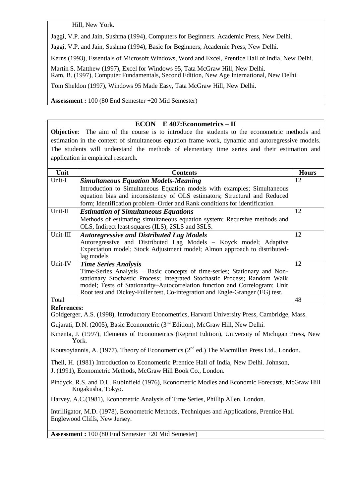Hill, New York.

Jaggi, V.P. and Jain, Sushma (1994), Computers for Beginners. Academic Press, New Delhi.

Jaggi, V.P. and Jain, Sushma (1994), Basic for Beginners, Academic Press, New Delhi.

Kerns (1993), Essentials of Microsoft Windows, Word and Excel, Prentice Hall of India, New Delhi.

Martin S. Matthew (1997), Excel for Windows 95, Tata McGraw Hill, New Delhi. Ram, B. (1997), Computer Fundamentals, Second Edition, New Age International, New Delhi.

Tom Sheldon (1997), Windows 95 Made Easy, Tata McGraw Hill, New Delhi.

**Assessment :** 100 (80 End Semester +20 Mid Semester)

#### **ECON E 407:Econometrics – II**

**Objective**: The aim of the course is to introduce the students to the econometric methods and estimation in the context of simultaneous equation frame work, dynamic and autoregressive models. The students will understand the methods of elementary time series and their estimation and application in empirical research.

| Unit     | <b>Contents</b>                                                               | <b>Hours</b> |
|----------|-------------------------------------------------------------------------------|--------------|
| Unit-I   | <b>Simultaneous Equation Models-Meaning</b>                                   | 12           |
|          | Introduction to Simultaneous Equation models with examples; Simultaneous      |              |
|          | equation bias and inconsistency of OLS estimators; Structural and Reduced     |              |
|          | form; Identification problem–Order and Rank conditions for identification     |              |
| Unit-II  | <b>Estimation of Simultaneous Equations</b>                                   | 12           |
|          | Methods of estimating simultaneous equation system: Recursive methods and     |              |
|          | OLS, Indirect least squares (ILS), 2SLS and 3SLS.                             |              |
| Unit-III | <b>Autoregressive and Distributed Lag Models</b>                              | 12           |
|          | Autoregressive and Distributed Lag Models – Koyck model; Adaptive             |              |
|          | Expectation model; Stock Adjustment model; Almon approach to distributed-     |              |
|          | lag models                                                                    |              |
| Unit-IV  | <b>Time Series Analysis</b>                                                   | 12           |
|          | Time-Series Analysis – Basic concepts of time-series; Stationary and Non-     |              |
|          | stationary Stochastic Process; Integrated Stochastic Process; Random Walk     |              |
|          | model; Tests of Stationarity-Autocorrelation function and Correlogram; Unit   |              |
|          | Root test and Dickey-Fuller test, Co-integration and Engle-Granger (EG) test. |              |
| Total    |                                                                               | 48           |

#### **References:**

Goldgerger, A.S. (1998), Introductory Econometrics, Harvard University Press, Cambridge, Mass.

Gujarati, D.N. (2005), Basic Econometric (3<sup>nd</sup> Edition), McGraw Hill, New Delhi.

Kmenta, J. (1997), Elements of Econometrics (Reprint Edition), University of Michigan Press, New York.

Koutsoyiannis, A. (1977), Theory of Econometrics ( $2<sup>nd</sup>$  ed.) The Macmillan Press Ltd., London.

Theil, H. (1981) Introduction to Econometric Prentice Hall of India, New Delhi. Johnson,

J. (1991), Econometric Methods, McGraw Hill Book Co., London.

Pindyck, R.S. and D.L. Rubinfield (1976), Econometric Modles and Economic Forecasts, McGraw Hill Kogakusha, Tokyo.

Harvey, A.C.(1981), Econometric Analysis of Time Series, Phillip Allen, London.

Intrilligator, M.D. (1978), Econometric Methods, Techniques and Applications, Prentice Hall Englewood Cliffs, New Jersey.

**Assessment :** 100 (80 End Semester +20 Mid Semester)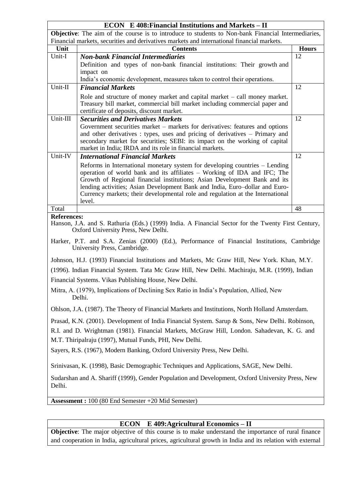| <b>ECON</b> E 408: Financial Institutions and Markets – II                                     |                                                                                                                                                              |              |  |
|------------------------------------------------------------------------------------------------|--------------------------------------------------------------------------------------------------------------------------------------------------------------|--------------|--|
|                                                                                                | <b>Objective:</b> The aim of the course is to introduce to students to Non-bank Financial Intermediaries,                                                    |              |  |
| Financial markets, securities and derivatives markets and international financial markets.     |                                                                                                                                                              |              |  |
| Unit                                                                                           | <b>Contents</b>                                                                                                                                              | <b>Hours</b> |  |
| Unit-I                                                                                         | <b>Non-bank Financial Intermediaries</b>                                                                                                                     | 12           |  |
|                                                                                                | Definition and types of non-bank financial institutions: Their growth and<br>impact on                                                                       |              |  |
|                                                                                                | India's economic development, measures taken to control their operations.                                                                                    |              |  |
| Unit-II                                                                                        | <b>Financial Markets</b>                                                                                                                                     | 12           |  |
|                                                                                                | Role and structure of money market and capital market $-$ call money market.                                                                                 |              |  |
|                                                                                                | Treasury bill market, commercial bill market including commercial paper and                                                                                  |              |  |
|                                                                                                | certificate of deposits, discount market.                                                                                                                    |              |  |
| Unit-III                                                                                       | <b>Securities and Derivatives Markets</b>                                                                                                                    | 12           |  |
|                                                                                                | Government securities market – markets for derivatives: features and options<br>and other derivatives : types, uses and pricing of derivatives – Primary and |              |  |
|                                                                                                | secondary market for securities; SEBI: its impact on the working of capital                                                                                  |              |  |
|                                                                                                | market in India; IRDA and its role in financial markets.                                                                                                     |              |  |
| Unit-IV                                                                                        | <b>International Financial Markets</b>                                                                                                                       | 12           |  |
|                                                                                                | Reforms in International monetary system for developing countries – Lending                                                                                  |              |  |
|                                                                                                | operation of world bank and its affiliates – Working of IDA and IFC; The<br>Growth of Regional financial institutions; Asian Development Bank and its        |              |  |
|                                                                                                | lending activities; Asian Development Bank and India, Euro-dollar and Euro-                                                                                  |              |  |
|                                                                                                | Currency markets; their developmental role and regulation at the International                                                                               |              |  |
|                                                                                                | level.                                                                                                                                                       |              |  |
| Total                                                                                          |                                                                                                                                                              | 48           |  |
| <b>References:</b>                                                                             | Hanson, J.A. and S. Rathuria (Eds.) (1999) India. A Financial Sector for the Twenty First Century,<br>Oxford University Press, New Delhi.                    |              |  |
|                                                                                                | Harker, P.T. and S.A. Zenias (2000) (Ed.), Performance of Financial Institutions, Cambridge<br>University Press, Cambridge.                                  |              |  |
|                                                                                                | Johnson, H.J. (1993) Financial Institutions and Markets, Mc Graw Hill, New York. Khan, M.Y.                                                                  |              |  |
| (1996). Indian Financial System. Tata Mc Graw Hill, New Delhi. Machiraju, M.R. (1999), Indian  |                                                                                                                                                              |              |  |
|                                                                                                | Financial Systems. Vikas Publishing House, New Delhi.                                                                                                        |              |  |
|                                                                                                | Mitra, A. (1979), Implications of Declining Sex Ratio in India's Population, Allied, New                                                                     |              |  |
|                                                                                                | Delhi.                                                                                                                                                       |              |  |
|                                                                                                | Ohlson, J.A. (1987). The Theory of Financial Markets and Institutions, North Holland Amsterdam.                                                              |              |  |
| Prasad, K.N. (2001). Development of India Financial System. Sarup & Sons, New Delhi. Robinson, |                                                                                                                                                              |              |  |
|                                                                                                | R.I. and D. Wrightman (1981). Financial Markets, McGraw Hill, London. Sahadevan, K. G. and                                                                   |              |  |
|                                                                                                | M.T. Thiripalraju (1997), Mutual Funds, PHI, New Delhi.                                                                                                      |              |  |
|                                                                                                | Sayers, R.S. (1967), Modern Banking, Oxford University Press, New Delhi.                                                                                     |              |  |
|                                                                                                | Srinivasan, K. (1998), Basic Demographic Techniques and Applications, SAGE, New Delhi.                                                                       |              |  |
| Delhi.                                                                                         | Sudarshan and A. Shariff (1999), Gender Population and Development, Oxford University Press, New                                                             |              |  |
|                                                                                                | <b>Assessment :</b> 100 (80 End Semester +20 Mid Semester)                                                                                                   |              |  |
|                                                                                                |                                                                                                                                                              |              |  |
|                                                                                                |                                                                                                                                                              |              |  |
|                                                                                                | $\mathbf{u}$                                                                                                                                                 |              |  |

## **ECON E 409:Agricultural Economics – II**

**Objective**: The major objective of this course is to make understand the importance of rural finance and cooperation in India, agricultural prices, agricultural growth in India and its relation with external